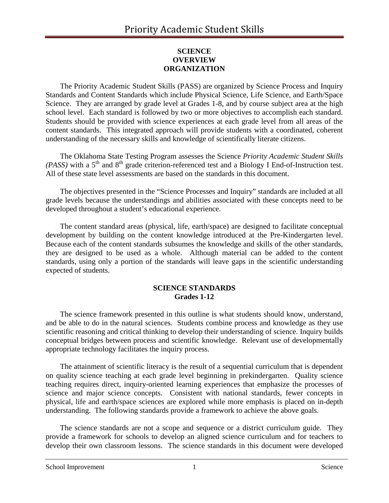## **SCIENCE OVERVIEW ORGANIZATION**

The Priority Academic Student Skills (PASS) are organized by Science Process and Inquiry Standards and Content Standards which include Physical Science, Life Science, and Earth/Space Science. They are arranged by grade level at Grades 1-8, and by course subject area at the high school level. Each standard is followed by two or more objectives to accomplish each standard. Students should be provided with science experiences at each grade level from all areas of the content standards. This integrated approach will provide students with a coordinated, coherent understanding of the necessary skills and knowledge of scientifically literate citizens.

The Oklahoma State Testing Program assesses the Science *Priority Academic Student Skills (PASS)* with a  $5<sup>th</sup>$  and  $8<sup>th</sup>$  grade criterion-referenced test and a Biology I End-of-Instruction test. All of these state level assessments are based on the standards in this document.

The objectives presented in the "Science Processes and Inquiry" standards are included at all grade levels because the understandings and abilities associated with these concepts need to be developed throughout a student's educational experience.

The content standard areas (physical, life, earth/space) are designed to facilitate conceptual development by building on the content knowledge introduced at the Pre-Kindergarten level. Because each of the content standards subsumes the knowledge and skills of the other standards, they are designed to be used as a whole. Although material can be added to the content standards, using only a portion of the standards will leave gaps in the scientific understanding expected of students.

### **SCIENCE STANDARDS Grades 1-12**

The science framework presented in this outline is what students should know, understand, and be able to do in the natural sciences. Students combine process and knowledge as they use scientific reasoning and critical thinking to develop their understanding of science. Inquiry builds conceptual bridges between process and scientific knowledge. Relevant use of developmentally appropriate technology facilitates the inquiry process.

The attainment of scientific literacy is the result of a sequential curriculum that is dependent on quality science teaching at each grade level beginning in prekindergarten. Quality science teaching requires direct, inquiry-oriented learning experiences that emphasize the processes of science and major science concepts. Consistent with national standards, fewer concepts in physical, life and earth/space sciences are explored while more emphasis is placed on in-depth understanding. The following standards provide a framework to achieve the above goals.

The science standards are not a scope and sequence or a district curriculum guide. They provide a framework for schools to develop an aligned science curriculum and for teachers to develop their own classroom lessons. The science standards in this document were developed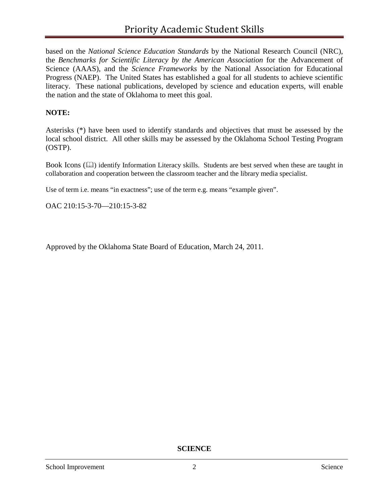based on the *National Science Education Standards* by the National Research Council (NRC), the *Benchmarks for Scientific Literacy by the American Association* for the Advancement of Science (AAAS), and the *Science Frameworks* by the National Association for Educational Progress (NAEP). The United States has established a goal for all students to achieve scientific literacy. These national publications, developed by science and education experts, will enable the nation and the state of Oklahoma to meet this goal.

### **NOTE:**

Asterisks (\*) have been used to identify standards and objectives that must be assessed by the local school district. All other skills may be assessed by the Oklahoma School Testing Program (OSTP).

Book Icons ( $\Box$ ) identify Information Literacy skills. Students are best served when these are taught in collaboration and cooperation between the classroom teacher and the library media specialist.

Use of term i.e. means "in exactness"; use of the term e.g. means "example given".

OAC 210:15-3-70—210:15-3-82

Approved by the Oklahoma State Board of Education, March 24, 2011.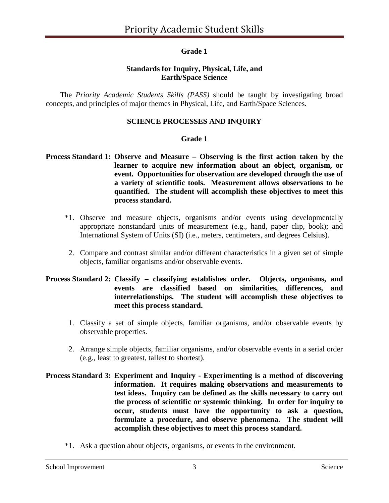## **Grade 1**

### **Standards for Inquiry, Physical, Life, and Earth/Space Science**

The *Priority Academic Students Skills (PASS)* should be taught by investigating broad concepts, and principles of major themes in Physical, Life, and Earth/Space Sciences.

### **SCIENCE PROCESSES AND INQUIRY**

#### **Grade 1**

### **Process Standard 1: Observe and Measure – Observing is the first action taken by the learner to acquire new information about an object, organism, or event. Opportunities for observation are developed through the use of a variety of scientific tools. Measurement allows observations to be quantified. The student will accomplish these objectives to meet this process standard.**

- \*1. Observe and measure objects, organisms and/or events using developmentally appropriate nonstandard units of measurement (e.g., hand, paper clip, book); and International System of Units (SI) (i.e., meters, centimeters, and degrees Celsius).
- 2. Compare and contrast similar and/or different characteristics in a given set of simple objects, familiar organisms and/or observable events.

### **Process Standard 2: Classify – classifying establishes order. Objects, organisms, and events are classified based on similarities, differences, and interrelationships. The student will accomplish these objectives to meet this process standard.**

- 1. Classify a set of simple objects, familiar organisms, and/or observable events by observable properties.
- 2. Arrange simple objects, familiar organisms, and/or observable events in a serial order (e.g., least to greatest, tallest to shortest).
- **Process Standard 3: Experiment and Inquiry - Experimenting is a method of discovering information. It requires making observations and measurements to test ideas. Inquiry can be defined as the skills necessary to carry out the process of scientific or systemic thinking. In order for inquiry to occur, students must have the opportunity to ask a question, formulate a procedure, and observe phenomena. The student will accomplish these objectives to meet this process standard.**
	- \*1. Ask a question about objects, organisms, or events in the environment.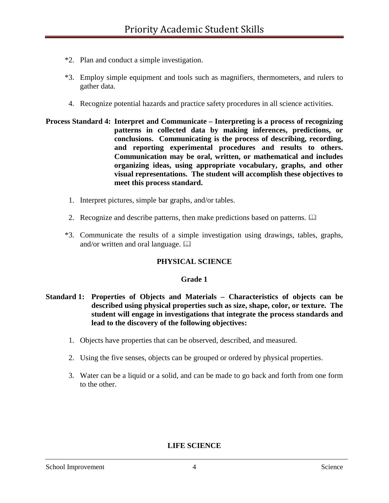- \*2. Plan and conduct a simple investigation.
- \*3. Employ simple equipment and tools such as magnifiers, thermometers, and rulers to gather data.
- 4. Recognize potential hazards and practice safety procedures in all science activities.
- **Process Standard 4: Interpret and Communicate – Interpreting is a process of recognizing patterns in collected data by making inferences, predictions, or conclusions. Communicating is the process of describing, recording, and reporting experimental procedures and results to others. Communication may be oral, written, or mathematical and includes organizing ideas, using appropriate vocabulary, graphs, and other visual representations. The student will accomplish these objectives to meet this process standard.**
	- 1. Interpret pictures, simple bar graphs, and/or tables.
	- 2. Recognize and describe patterns, then make predictions based on patterns.  $\Box$
	- \*3. Communicate the results of a simple investigation using drawings, tables, graphs, and/or written and oral language.  $\Box$

### **PHYSICAL SCIENCE**

#### **Grade 1**

- **Standard 1: Properties of Objects and Materials – Characteristics of objects can be described using physical properties such as size, shape, color, or texture. The student will engage in investigations that integrate the process standards and lead to the discovery of the following objectives:**
	- 1. Objects have properties that can be observed, described, and measured.
	- 2. Using the five senses, objects can be grouped or ordered by physical properties.
	- 3. Water can be a liquid or a solid, and can be made to go back and forth from one form to the other.

#### **LIFE SCIENCE**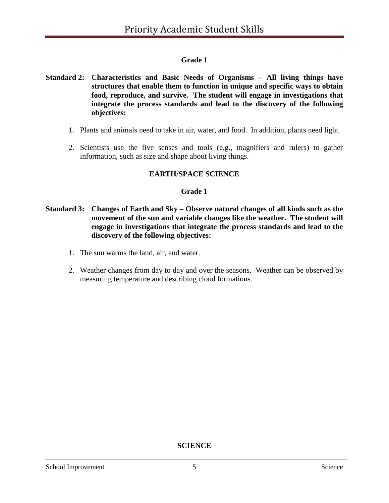# **Grade 1**

- **Standard 2: Characteristics and Basic Needs of Organisms – All living things have structures that enable them to function in unique and specific ways to obtain food, reproduce, and survive. The student will engage in investigations that integrate the process standards and lead to the discovery of the following objectives:**
	- 1. Plants and animals need to take in air, water, and food. In addition, plants need light.
	- 2. Scientists use the five senses and tools (e.g., magnifiers and rulers) to gather information, such as size and shape about living things.

### **EARTH/SPACE SCIENCE**

### **Grade 1**

- **Standard 3: Changes of Earth and Sky – Observe natural changes of all kinds such as the movement of the sun and variable changes like the weather. The student will engage in investigations that integrate the process standards and lead to the discovery of the following objectives:**
	- 1. The sun warms the land, air, and water.
	- 2. Weather changes from day to day and over the seasons. Weather can be observed by measuring temperature and describing cloud formations.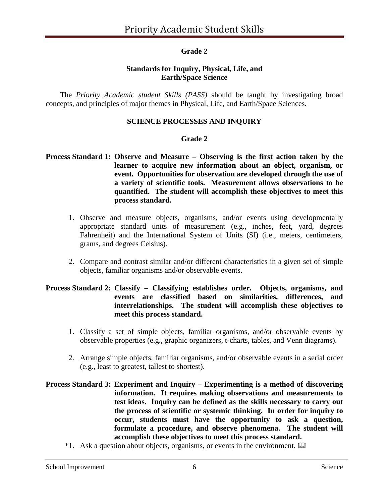## **Grade 2**

### **Standards for Inquiry, Physical, Life, and Earth/Space Science**

The *Priority Academic student Skills (PASS)* should be taught by investigating broad concepts, and principles of major themes in Physical, Life, and Earth/Space Sciences.

### **SCIENCE PROCESSES AND INQUIRY**

#### **Grade 2**

### **Process Standard 1: Observe and Measure – Observing is the first action taken by the learner to acquire new information about an object, organism, or event. Opportunities for observation are developed through the use of a variety of scientific tools. Measurement allows observations to be quantified. The student will accomplish these objectives to meet this process standard.**

- 1. Observe and measure objects, organisms, and/or events using developmentally appropriate standard units of measurement (e.g., inches, feet, yard, degrees Fahrenheit) and the International System of Units (SI) (i.e., meters, centimeters, grams, and degrees Celsius).
- 2. Compare and contrast similar and/or different characteristics in a given set of simple objects, familiar organisms and/or observable events.

### **Process Standard 2: Classify – Classifying establishes order. Objects, organisms, and events are classified based on similarities, differences, and interrelationships. The student will accomplish these objectives to meet this process standard.**

- 1. Classify a set of simple objects, familiar organisms, and/or observable events by observable properties (e.g., graphic organizers, t-charts, tables, and Venn diagrams).
- 2. Arrange simple objects, familiar organisms, and/or observable events in a serial order (e.g., least to greatest, tallest to shortest).

### **Process Standard 3: Experiment and Inquiry – Experimenting is a method of discovering information. It requires making observations and measurements to test ideas. Inquiry can be defined as the skills necessary to carry out the process of scientific or systemic thinking. In order for inquiry to occur, students must have the opportunity to ask a question, formulate a procedure, and observe phenomena. The student will accomplish these objectives to meet this process standard.**

\*1. Ask a question about objects, organisms, or events in the environment.  $\Box$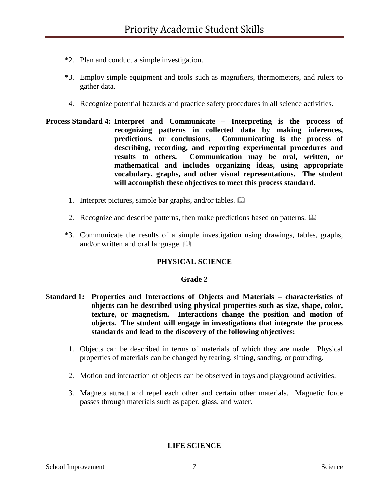- \*2. Plan and conduct a simple investigation.
- \*3. Employ simple equipment and tools such as magnifiers, thermometers, and rulers to gather data.
- 4. Recognize potential hazards and practice safety procedures in all science activities.
- **Process Standard 4: Interpret and Communicate – Interpreting is the process of recognizing patterns in collected data by making inferences, predictions, or conclusions. Communicating is the process of describing, recording, and reporting experimental procedures and results to others. Communication may be oral, written, or mathematical and includes organizing ideas, using appropriate vocabulary, graphs, and other visual representations. The student will accomplish these objectives to meet this process standard.**
	- 1. Interpret pictures, simple bar graphs, and/or tables.
	- 2. Recognize and describe patterns, then make predictions based on patterns.  $\Box$
	- \*3. Communicate the results of a simple investigation using drawings, tables, graphs, and/or written and oral language.  $\Box$

### **PHYSICAL SCIENCE**

### **Grade 2**

- **Standard 1: Properties and Interactions of Objects and Materials – characteristics of objects can be described using physical properties such as size, shape, color, texture, or magnetism. Interactions change the position and motion of objects. The student will engage in investigations that integrate the process standards and lead to the discovery of the following objectives:**
	- 1. Objects can be described in terms of materials of which they are made. Physical properties of materials can be changed by tearing, sifting, sanding, or pounding.
	- 2. Motion and interaction of objects can be observed in toys and playground activities.
	- 3. Magnets attract and repel each other and certain other materials. Magnetic force passes through materials such as paper, glass, and water.

**LIFE SCIENCE**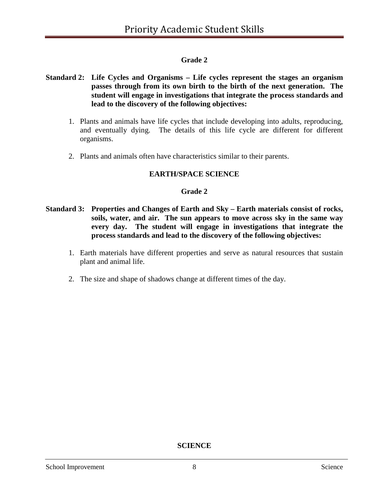# **Grade 2**

### **Standard 2: Life Cycles and Organisms – Life cycles represent the stages an organism passes through from its own birth to the birth of the next generation. The student will engage in investigations that integrate the process standards and lead to the discovery of the following objectives:**

- 1. Plants and animals have life cycles that include developing into adults, reproducing, and eventually dying. The details of this life cycle are different for different organisms.
- 2. Plants and animals often have characteristics similar to their parents.

# **EARTH/SPACE SCIENCE**

### **Grade 2**

- **Standard 3: Properties and Changes of Earth and Sky – Earth materials consist of rocks, soils, water, and air. The sun appears to move across sky in the same way every day. The student will engage in investigations that integrate the process standards and lead to the discovery of the following objectives:**
	- 1. Earth materials have different properties and serve as natural resources that sustain plant and animal life.
	- 2. The size and shape of shadows change at different times of the day.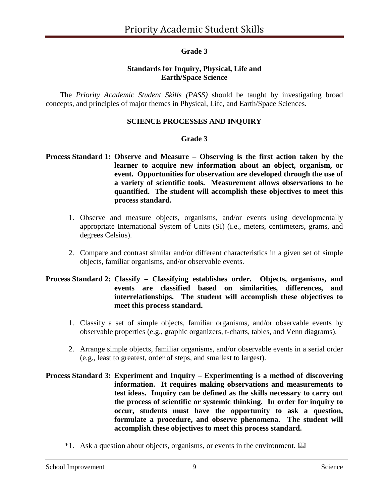## **Grade 3**

### **Standards for Inquiry, Physical, Life and Earth/Space Science**

The *Priority Academic Student Skills (PASS)* should be taught by investigating broad concepts, and principles of major themes in Physical, Life, and Earth/Space Sciences.

### **SCIENCE PROCESSES AND INQUIRY**

### **Grade 3**

### **Process Standard 1: Observe and Measure – Observing is the first action taken by the learner to acquire new information about an object, organism, or event. Opportunities for observation are developed through the use of a variety of scientific tools. Measurement allows observations to be quantified. The student will accomplish these objectives to meet this process standard.**

- 1. Observe and measure objects, organisms, and/or events using developmentally appropriate International System of Units (SI) (i.e., meters, centimeters, grams, and degrees Celsius).
- 2. Compare and contrast similar and/or different characteristics in a given set of simple objects, familiar organisms, and/or observable events.

### **Process Standard 2: Classify – Classifying establishes order. Objects, organisms, and events are classified based on similarities, differences, and interrelationships. The student will accomplish these objectives to meet this process standard.**

- 1. Classify a set of simple objects, familiar organisms, and/or observable events by observable properties (e.g., graphic organizers, t-charts, tables, and Venn diagrams).
- 2. Arrange simple objects, familiar organisms, and/or observable events in a serial order (e.g., least to greatest, order of steps, and smallest to largest).
- **Process Standard 3: Experiment and Inquiry – Experimenting is a method of discovering information. It requires making observations and measurements to test ideas. Inquiry can be defined as the skills necessary to carry out the process of scientific or systemic thinking. In order for inquiry to occur, students must have the opportunity to ask a question, formulate a procedure, and observe phenomena. The student will accomplish these objectives to meet this process standard.**
	- \*1. Ask a question about objects, organisms, or events in the environment.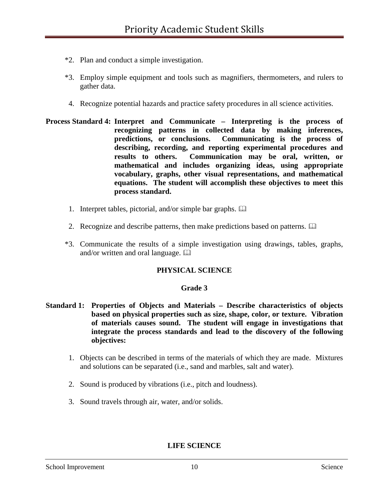- \*2. Plan and conduct a simple investigation.
- \*3. Employ simple equipment and tools such as magnifiers, thermometers, and rulers to gather data.
- 4. Recognize potential hazards and practice safety procedures in all science activities.
- **Process Standard 4: Interpret and Communicate – Interpreting is the process of recognizing patterns in collected data by making inferences, predictions, or conclusions. Communicating is the process of describing, recording, and reporting experimental procedures and results to others. Communication may be oral, written, or mathematical and includes organizing ideas, using appropriate vocabulary, graphs, other visual representations, and mathematical equations. The student will accomplish these objectives to meet this process standard.**
	- 1. Interpret tables, pictorial, and/or simple bar graphs.
	- 2. Recognize and describe patterns, then make predictions based on patterns.
	- \*3. Communicate the results of a simple investigation using drawings, tables, graphs, and/or written and oral language.  $\Box$

#### **PHYSICAL SCIENCE**

#### **Grade 3**

- **Standard 1: Properties of Objects and Materials – Describe characteristics of objects based on physical properties such as size, shape, color, or texture. Vibration of materials causes sound. The student will engage in investigations that integrate the process standards and lead to the discovery of the following objectives:**
	- 1. Objects can be described in terms of the materials of which they are made. Mixtures and solutions can be separated (i.e., sand and marbles, salt and water).
	- 2. Sound is produced by vibrations (i.e., pitch and loudness).
	- 3. Sound travels through air, water, and/or solids.

**LIFE SCIENCE**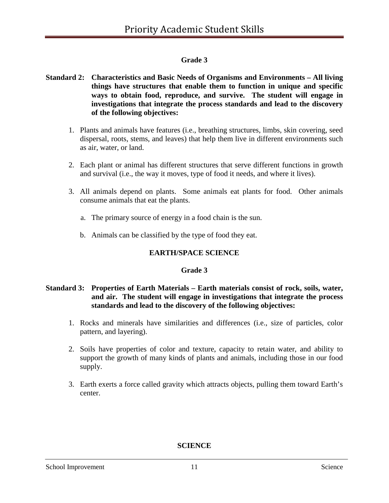# **Grade 3**

### **Standard 2: Characteristics and Basic Needs of Organisms and Environments – All living things have structures that enable them to function in unique and specific ways to obtain food, reproduce, and survive. The student will engage in investigations that integrate the process standards and lead to the discovery of the following objectives:**

- 1. Plants and animals have features (i.e., breathing structures, limbs, skin covering, seed dispersal, roots, stems, and leaves) that help them live in different environments such as air, water, or land.
- 2. Each plant or animal has different structures that serve different functions in growth and survival (i.e., the way it moves, type of food it needs, and where it lives).
- 3. All animals depend on plants. Some animals eat plants for food. Other animals consume animals that eat the plants.
	- a. The primary source of energy in a food chain is the sun.
	- b. Animals can be classified by the type of food they eat.

# **EARTH/SPACE SCIENCE**

### **Grade 3**

## **Standard 3: Properties of Earth Materials – Earth materials consist of rock, soils, water, and air. The student will engage in investigations that integrate the process standards and lead to the discovery of the following objectives:**

- 1. Rocks and minerals have similarities and differences (i.e., size of particles, color pattern, and layering).
- 2. Soils have properties of color and texture, capacity to retain water, and ability to support the growth of many kinds of plants and animals, including those in our food supply.
- 3. Earth exerts a force called gravity which attracts objects, pulling them toward Earth's center.

**SCIENCE**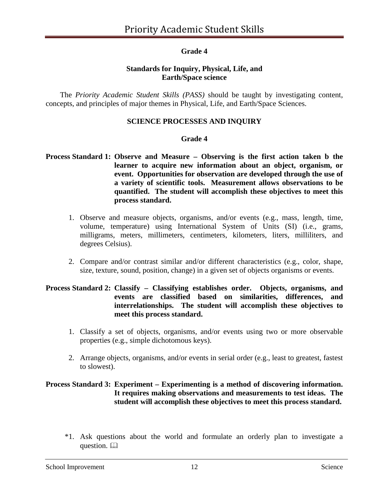## **Grade 4**

### **Standards for Inquiry, Physical, Life, and Earth/Space science**

The *Priority Academic Student Skills (PASS)* should be taught by investigating content, concepts, and principles of major themes in Physical, Life, and Earth/Space Sciences.

### **SCIENCE PROCESSES AND INQUIRY**

#### **Grade 4**

### **Process Standard 1: Observe and Measure – Observing is the first action taken b the learner to acquire new information about an object, organism, or event. Opportunities for observation are developed through the use of a variety of scientific tools. Measurement allows observations to be quantified. The student will accomplish these objectives to meet this process standard.**

- 1. Observe and measure objects, organisms, and/or events (e.g., mass, length, time, volume, temperature) using International System of Units (SI) (i.e., grams, milligrams, meters, millimeters, centimeters, kilometers, liters, milliliters, and degrees Celsius).
- 2. Compare and/or contrast similar and/or different characteristics (e.g., color, shape, size, texture, sound, position, change) in a given set of objects organisms or events.

### **Process Standard 2: Classify – Classifying establishes order. Objects, organisms, and events are classified based on similarities, differences, and interrelationships. The student will accomplish these objectives to meet this process standard.**

- 1. Classify a set of objects, organisms, and/or events using two or more observable properties (e.g., simple dichotomous keys).
- 2. Arrange objects, organisms, and/or events in serial order (e.g., least to greatest, fastest to slowest).

### **Process Standard 3: Experiment – Experimenting is a method of discovering information. It requires making observations and measurements to test ideas. The student will accomplish these objectives to meet this process standard.**

\*1. Ask questions about the world and formulate an orderly plan to investigate a question.  $\square$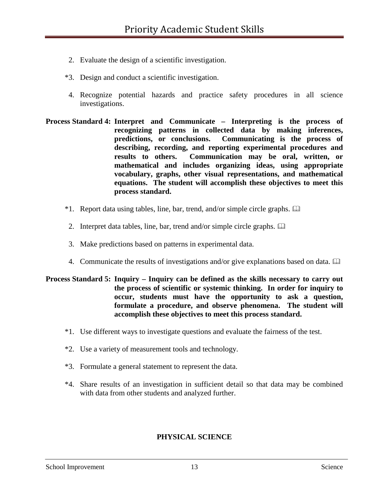- 2. Evaluate the design of a scientific investigation.
- \*3. Design and conduct a scientific investigation.
- 4. Recognize potential hazards and practice safety procedures in all science investigations.
- **Process Standard 4: Interpret and Communicate – Interpreting is the process of recognizing patterns in collected data by making inferences, predictions, or conclusions. Communicating is the process of describing, recording, and reporting experimental procedures and results to others. Communication may be oral, written, or mathematical and includes organizing ideas, using appropriate vocabulary, graphs, other visual representations, and mathematical equations. The student will accomplish these objectives to meet this process standard.**
	- \*1. Report data using tables, line, bar, trend, and/or simple circle graphs.
	- 2. Interpret data tables, line, bar, trend and/or simple circle graphs.
	- 3. Make predictions based on patterns in experimental data.
	- 4. Communicate the results of investigations and/or give explanations based on data.

### **Process Standard 5: Inquiry – Inquiry can be defined as the skills necessary to carry out the process of scientific or systemic thinking. In order for inquiry to occur, students must have the opportunity to ask a question, formulate a procedure, and observe phenomena. The student will accomplish these objectives to meet this process standard.**

- \*1. Use different ways to investigate questions and evaluate the fairness of the test.
- \*2. Use a variety of measurement tools and technology.
- \*3. Formulate a general statement to represent the data.
- \*4. Share results of an investigation in sufficient detail so that data may be combined with data from other students and analyzed further.

### **PHYSICAL SCIENCE**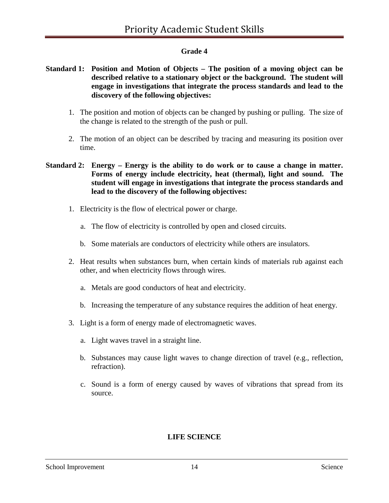# **Grade 4**

### **Standard 1: Position and Motion of Objects – The position of a moving object can be described relative to a stationary object or the background. The student will engage in investigations that integrate the process standards and lead to the discovery of the following objectives:**

- 1. The position and motion of objects can be changed by pushing or pulling. The size of the change is related to the strength of the push or pull.
- 2. The motion of an object can be described by tracing and measuring its position over time.

### **Standard 2: Energy – Energy is the ability to do work or to cause a change in matter. Forms of energy include electricity, heat (thermal), light and sound. The student will engage in investigations that integrate the process standards and lead to the discovery of the following objectives:**

- 1. Electricity is the flow of electrical power or charge.
	- a. The flow of electricity is controlled by open and closed circuits.
	- b. Some materials are conductors of electricity while others are insulators.
- 2. Heat results when substances burn, when certain kinds of materials rub against each other, and when electricity flows through wires.
	- a. Metals are good conductors of heat and electricity.
	- b. Increasing the temperature of any substance requires the addition of heat energy.
- 3. Light is a form of energy made of electromagnetic waves.
	- a. Light waves travel in a straight line.
	- b. Substances may cause light waves to change direction of travel (e.g., reflection, refraction).
	- c. Sound is a form of energy caused by waves of vibrations that spread from its source.

# **LIFE SCIENCE**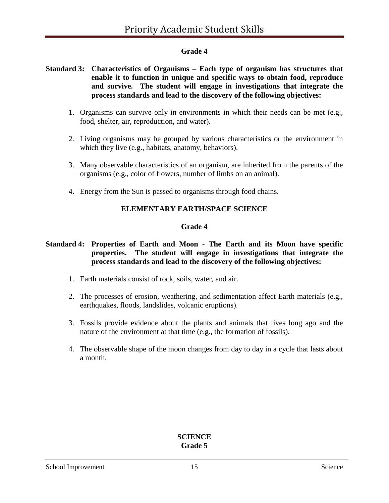## **Grade 4**

### **Standard 3: Characteristics of Organisms – Each type of organism has structures that enable it to function in unique and specific ways to obtain food, reproduce and survive. The student will engage in investigations that integrate the process standards and lead to the discovery of the following objectives:**

- 1. Organisms can survive only in environments in which their needs can be met (e.g., food, shelter, air, reproduction, and water).
- 2. Living organisms may be grouped by various characteristics or the environment in which they live (e.g., habitats, anatomy, behaviors).
- 3. Many observable characteristics of an organism, are inherited from the parents of the organisms (e.g., color of flowers, number of limbs on an animal).
- 4. Energy from the Sun is passed to organisms through food chains.

### **ELEMENTARY EARTH/SPACE SCIENCE**

### **Grade 4**

### **Standard 4: Properties of Earth and Moon - The Earth and its Moon have specific properties. The student will engage in investigations that integrate the process standards and lead to the discovery of the following objectives:**

- 1. Earth materials consist of rock, soils, water, and air.
- 2. The processes of erosion, weathering, and sedimentation affect Earth materials (e.g., earthquakes, floods, landslides, volcanic eruptions).
- 3. Fossils provide evidence about the plants and animals that lives long ago and the nature of the environment at that time (e.g., the formation of fossils).
- 4. The observable shape of the moon changes from day to day in a cycle that lasts about a month.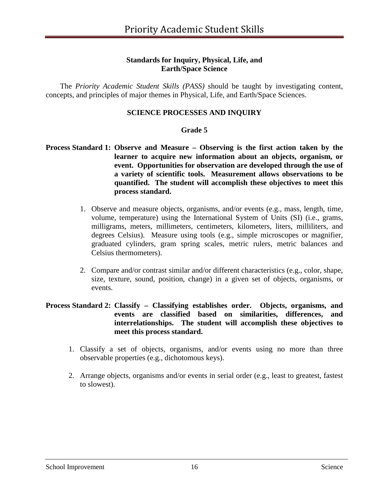### **Standards for Inquiry, Physical, Life, and Earth/Space Science**

The *Priority Academic Student Skills (PASS)* should be taught by investigating content, concepts, and principles of major themes in Physical, Life, and Earth/Space Sciences.

### **SCIENCE PROCESSES AND INQUIRY**

### **Grade 5**

### **Process Standard 1: Observe and Measure – Observing is the first action taken by the learner to acquire new information about an objects, organism, or event. Opportunities for observation are developed through the use of a variety of scientific tools. Measurement allows observations to be quantified. The student will accomplish these objectives to meet this process standard.**

- 1. Observe and measure objects, organisms, and/or events (e.g., mass, length, time, volume, temperature) using the International System of Units (SI) (i.e., grams, milligrams, meters, millimeters, centimeters, kilometers, liters, milliliters, and degrees Celsius). Measure using tools (e.g., simple microscopes or magnifier, graduated cylinders, gram spring scales, metric rulers, metric balances and Celsius thermometers).
- 2. Compare and/or contrast similar and/or different characteristics (e.g., color, shape, size, texture, sound, position, change) in a given set of objects, organisms, or events.

### **Process Standard 2: Classify – Classifying establishes order. Objects, organisms, and events are classified based on similarities, differences, and interrelationships. The student will accomplish these objectives to meet this process standard.**

- 1. Classify a set of objects, organisms, and/or events using no more than three observable properties (e.g., dichotomous keys).
- 2. Arrange objects, organisms and/or events in serial order (e.g., least to greatest, fastest to slowest).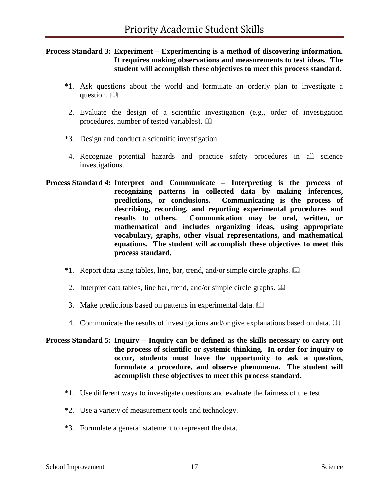### **Process Standard 3: Experiment – Experimenting is a method of discovering information. It requires making observations and measurements to test ideas. The student will accomplish these objectives to meet this process standard.**

- \*1. Ask questions about the world and formulate an orderly plan to investigate a question. <sup>22</sup>
- 2. Evaluate the design of a scientific investigation (e.g., order of investigation procedures, number of tested variables).
- \*3. Design and conduct a scientific investigation.
- 4. Recognize potential hazards and practice safety procedures in all science investigations.
- **Process Standard 4: Interpret and Communicate – Interpreting is the process of recognizing patterns in collected data by making inferences, predictions, or conclusions. Communicating is the process of describing, recording, and reporting experimental procedures and results to others. Communication may be oral, written, or mathematical and includes organizing ideas, using appropriate vocabulary, graphs, other visual representations, and mathematical equations. The student will accomplish these objectives to meet this process standard.**
	- \*1. Report data using tables, line, bar, trend, and/or simple circle graphs.
	- 2. Interpret data tables, line bar, trend, and/or simple circle graphs.
	- 3. Make predictions based on patterns in experimental data.
	- 4. Communicate the results of investigations and/or give explanations based on data.
- **Process Standard 5: Inquiry – Inquiry can be defined as the skills necessary to carry out the process of scientific or systemic thinking. In order for inquiry to occur, students must have the opportunity to ask a question, formulate a procedure, and observe phenomena. The student will accomplish these objectives to meet this process standard.**
	- \*1. Use different ways to investigate questions and evaluate the fairness of the test.
	- \*2. Use a variety of measurement tools and technology.
	- \*3. Formulate a general statement to represent the data.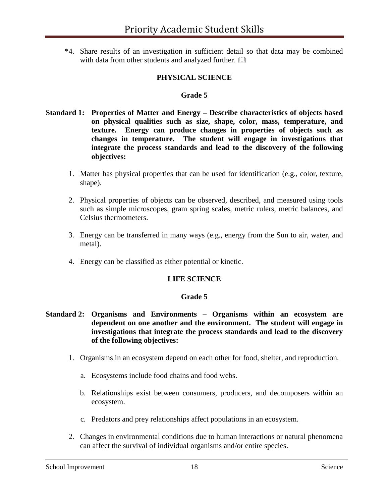\*4. Share results of an investigation in sufficient detail so that data may be combined with data from other students and analyzed further.  $\square\hspace{-.05cm}\square$ 

## **PHYSICAL SCIENCE**

#### **Grade 5**

- **Standard 1: Properties of Matter and Energy – Describe characteristics of objects based on physical qualities such as size, shape, color, mass, temperature, and texture. Energy can produce changes in properties of objects such as changes in temperature. The student will engage in investigations that integrate the process standards and lead to the discovery of the following objectives:**
	- 1. Matter has physical properties that can be used for identification (e.g., color, texture, shape).
	- 2. Physical properties of objects can be observed, described, and measured using tools such as simple microscopes, gram spring scales, metric rulers, metric balances, and Celsius thermometers.
	- 3. Energy can be transferred in many ways (e.g., energy from the Sun to air, water, and metal).
	- 4. Energy can be classified as either potential or kinetic.

#### **LIFE SCIENCE**

#### **Grade 5**

- **Standard 2: Organisms and Environments – Organisms within an ecosystem are dependent on one another and the environment. The student will engage in investigations that integrate the process standards and lead to the discovery of the following objectives:**
	- 1. Organisms in an ecosystem depend on each other for food, shelter, and reproduction.
		- a. Ecosystems include food chains and food webs.
		- b. Relationships exist between consumers, producers, and decomposers within an ecosystem.
		- c. Predators and prey relationships affect populations in an ecosystem.
	- 2. Changes in environmental conditions due to human interactions or natural phenomena can affect the survival of individual organisms and/or entire species.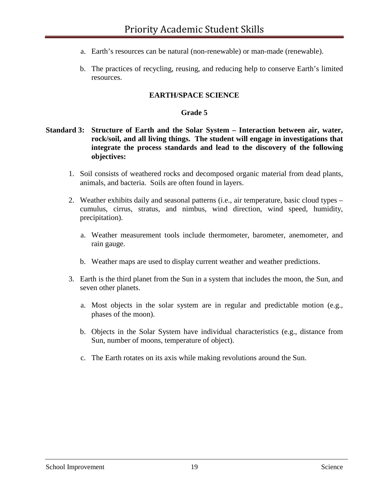- a. Earth's resources can be natural (non-renewable) or man-made (renewable).
- b. The practices of recycling, reusing, and reducing help to conserve Earth's limited resources.

### **EARTH/SPACE SCIENCE**

#### **Grade 5**

### **Standard 3: Structure of Earth and the Solar System – Interaction between air, water, rock/soil, and all living things. The student will engage in investigations that integrate the process standards and lead to the discovery of the following objectives:**

- 1. Soil consists of weathered rocks and decomposed organic material from dead plants, animals, and bacteria. Soils are often found in layers.
- 2. Weather exhibits daily and seasonal patterns (i.e., air temperature, basic cloud types cumulus, cirrus, stratus, and nimbus, wind direction, wind speed, humidity, precipitation).
	- a. Weather measurement tools include thermometer, barometer, anemometer, and rain gauge.
	- b. Weather maps are used to display current weather and weather predictions.
- 3. Earth is the third planet from the Sun in a system that includes the moon, the Sun, and seven other planets.
	- a. Most objects in the solar system are in regular and predictable motion (e.g., phases of the moon).
	- b. Objects in the Solar System have individual characteristics (e.g., distance from Sun, number of moons, temperature of object).
	- c. The Earth rotates on its axis while making revolutions around the Sun.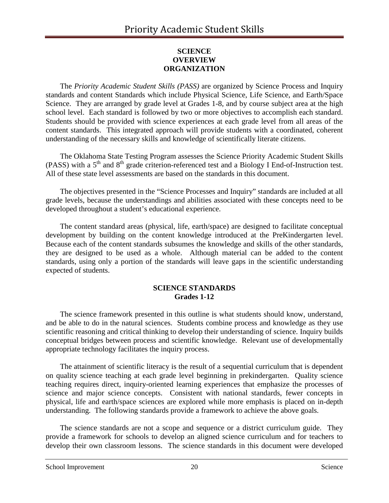## **SCIENCE OVERVIEW ORGANIZATION**

The *Priority Academic Student Skills (PASS)* are organized by Science Process and Inquiry standards and content Standards which include Physical Science, Life Science, and Earth/Space Science. They are arranged by grade level at Grades 1-8, and by course subject area at the high school level. Each standard is followed by two or more objectives to accomplish each standard. Students should be provided with science experiences at each grade level from all areas of the content standards. This integrated approach will provide students with a coordinated, coherent understanding of the necessary skills and knowledge of scientifically literate citizens.

The Oklahoma State Testing Program assesses the Science Priority Academic Student Skills (PASS) with a  $5<sup>th</sup>$  and  $8<sup>th</sup>$  grade criterion-referenced test and a Biology I End-of-Instruction test. All of these state level assessments are based on the standards in this document.

The objectives presented in the "Science Processes and Inquiry" standards are included at all grade levels, because the understandings and abilities associated with these concepts need to be developed throughout a student's educational experience.

The content standard areas (physical, life, earth/space) are designed to facilitate conceptual development by building on the content knowledge introduced at the PreKindergarten level. Because each of the content standards subsumes the knowledge and skills of the other standards, they are designed to be used as a whole. Although material can be added to the content standards, using only a portion of the standards will leave gaps in the scientific understanding expected of students.

### **SCIENCE STANDARDS Grades 1-12**

The science framework presented in this outline is what students should know, understand, and be able to do in the natural sciences. Students combine process and knowledge as they use scientific reasoning and critical thinking to develop their understanding of science. Inquiry builds conceptual bridges between process and scientific knowledge. Relevant use of developmentally appropriate technology facilitates the inquiry process.

The attainment of scientific literacy is the result of a sequential curriculum that is dependent on quality science teaching at each grade level beginning in prekindergarten. Quality science teaching requires direct, inquiry-oriented learning experiences that emphasize the processes of science and major science concepts. Consistent with national standards, fewer concepts in physical, life and earth/space sciences are explored while more emphasis is placed on in-depth understanding. The following standards provide a framework to achieve the above goals.

The science standards are not a scope and sequence or a district curriculum guide. They provide a framework for schools to develop an aligned science curriculum and for teachers to develop their own classroom lessons. The science standards in this document were developed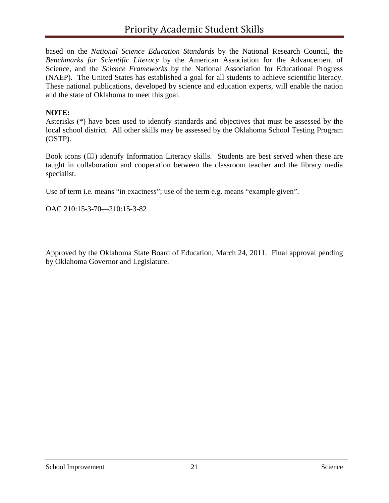based on the *National Science Education Standards* by the National Research Council, the *Benchmarks for Scientific Literacy* by the American Association for the Advancement of Science, and the *Science Frameworks* by the National Association for Educational Progress (NAEP). The United States has established a goal for all students to achieve scientific literacy. These national publications, developed by science and education experts, will enable the nation and the state of Oklahoma to meet this goal.

### **NOTE:**

Asterisks (\*) have been used to identify standards and objectives that must be assessed by the local school district. All other skills may be assessed by the Oklahoma School Testing Program (OSTP).

Book icons  $(\Box)$  identify Information Literacy skills. Students are best served when these are taught in collaboration and cooperation between the classroom teacher and the library media specialist.

Use of term i.e. means "in exactness"; use of the term e.g. means "example given".

OAC 210:15-3-70—210:15-3-82

Approved by the Oklahoma State Board of Education, March 24, 2011. Final approval pending by Oklahoma Governor and Legislature.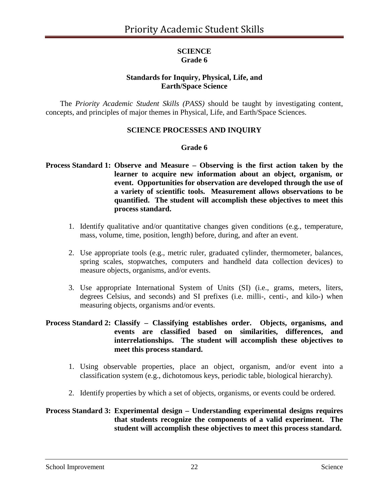### **SCIENCE Grade 6**

# **Standards for Inquiry, Physical, Life, and Earth/Space Science**

The *Priority Academic Student Skills (PASS)* should be taught by investigating content, concepts, and principles of major themes in Physical, Life, and Earth/Space Sciences.

## **SCIENCE PROCESSES AND INQUIRY**

### **Grade 6**

### **Process Standard 1: Observe and Measure – Observing is the first action taken by the learner to acquire new information about an object, organism, or event. Opportunities for observation are developed through the use of a variety of scientific tools. Measurement allows observations to be quantified. The student will accomplish these objectives to meet this process standard.**

- 1. Identify qualitative and/or quantitative changes given conditions (e.g., temperature, mass, volume, time, position, length) before, during, and after an event.
- 2. Use appropriate tools (e.g., metric ruler, graduated cylinder, thermometer, balances, spring scales, stopwatches, computers and handheld data collection devices) to measure objects, organisms, and/or events.
- 3. Use appropriate International System of Units (SI) (i.e., grams, meters, liters, degrees Celsius, and seconds) and SI prefixes (i.e. milli-, centi-, and kilo-) when measuring objects, organisms and/or events.

### **Process Standard 2: Classify – Classifying establishes order. Objects, organisms, and events are classified based on similarities, differences, and interrelationships. The student will accomplish these objectives to meet this process standard.**

- 1. Using observable properties, place an object, organism, and/or event into a classification system (e.g., dichotomous keys, periodic table, biological hierarchy).
- 2. Identify properties by which a set of objects, organisms, or events could be ordered.

### **Process Standard 3: Experimental design – Understanding experimental designs requires that students recognize the components of a valid experiment. The student will accomplish these objectives to meet this process standard.**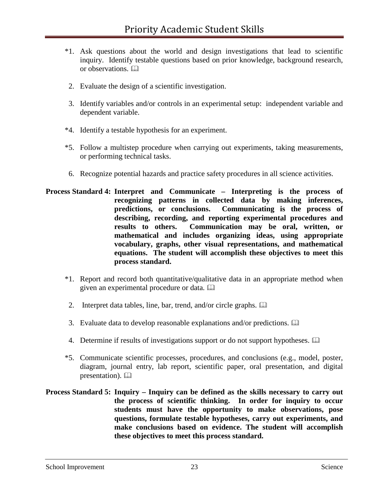- \*1. Ask questions about the world and design investigations that lead to scientific inquiry. Identify testable questions based on prior knowledge, background research, or observations.
- 2. Evaluate the design of a scientific investigation.
- 3. Identify variables and/or controls in an experimental setup: independent variable and dependent variable.
- \*4. Identify a testable hypothesis for an experiment.
- \*5. Follow a multistep procedure when carrying out experiments, taking measurements, or performing technical tasks.
- 6. Recognize potential hazards and practice safety procedures in all science activities.
- **Process Standard 4: Interpret and Communicate – Interpreting is the process of recognizing patterns in collected data by making inferences, predictions, or conclusions. Communicating is the process of describing, recording, and reporting experimental procedures and results to others. Communication may be oral, written, or mathematical and includes organizing ideas, using appropriate vocabulary, graphs, other visual representations, and mathematical equations. The student will accomplish these objectives to meet this process standard.**
	- \*1. Report and record both quantitative/qualitative data in an appropriate method when given an experimental procedure or data.
	- 2. Interpret data tables, line, bar, trend, and/or circle graphs.
	- 3. Evaluate data to develop reasonable explanations and/or predictions.
	- 4. Determine if results of investigations support or do not support hypotheses.
	- \*5. Communicate scientific processes, procedures, and conclusions (e.g., model, poster, diagram, journal entry, lab report, scientific paper, oral presentation, and digital presentation).  $\Box$
- **Process Standard 5: Inquiry – Inquiry can be defined as the skills necessary to carry out the process of scientific thinking. In order for inquiry to occur students must have the opportunity to make observations, pose questions, formulate testable hypotheses, carry out experiments, and make conclusions based on evidence. The student will accomplish these objectives to meet this process standard.**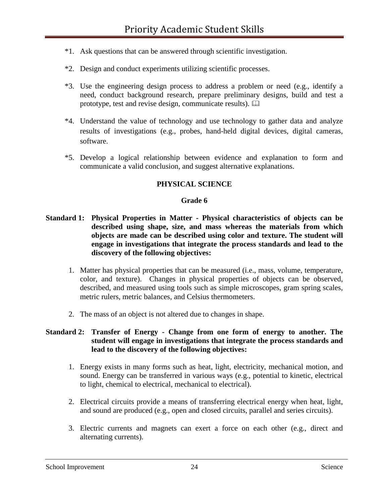- \*1. Ask questions that can be answered through scientific investigation.
- \*2. Design and conduct experiments utilizing scientific processes.
- \*3. Use the engineering design process to address a problem or need (e.g., identify a need, conduct background research, prepare preliminary designs, build and test a prototype, test and revise design, communicate results).
- \*4. Understand the value of technology and use technology to gather data and analyze results of investigations (e.g., probes, hand-held digital devices, digital cameras, software.
- \*5. Develop a logical relationship between evidence and explanation to form and communicate a valid conclusion, and suggest alternative explanations.

# **PHYSICAL SCIENCE**

### **Grade 6**

- **Standard 1: Physical Properties in Matter - Physical characteristics of objects can be described using shape, size, and mass whereas the materials from which objects are made can be described using color and texture. The student will engage in investigations that integrate the process standards and lead to the discovery of the following objectives:** 
	- 1. Matter has physical properties that can be measured (i.e., mass, volume, temperature, color, and texture). Changes in physical properties of objects can be observed, described, and measured using tools such as simple microscopes, gram spring scales, metric rulers, metric balances, and Celsius thermometers.
	- 2. The mass of an object is not altered due to changes in shape.

### **Standard 2: Transfer of Energy - Change from one form of energy to another. The student will engage in investigations that integrate the process standards and lead to the discovery of the following objectives:**

- 1. Energy exists in many forms such as heat, light, electricity, mechanical motion, and sound. Energy can be transferred in various ways (e.g., potential to kinetic, electrical to light, chemical to electrical, mechanical to electrical).
- 2. Electrical circuits provide a means of transferring electrical energy when heat, light, and sound are produced (e.g., open and closed circuits, parallel and series circuits).
- 3. Electric currents and magnets can exert a force on each other (e.g., direct and alternating currents).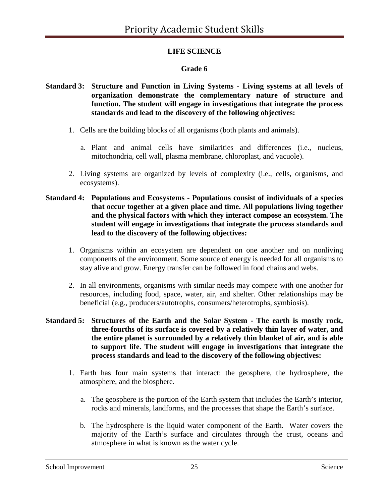# **LIFE SCIENCE**

# **Grade 6**

- **Standard 3: Structure and Function in Living Systems - Living systems at all levels of organization demonstrate the complementary nature of structure and function. The student will engage in investigations that integrate the process standards and lead to the discovery of the following objectives:**
	- 1. Cells are the building blocks of all organisms (both plants and animals).
		- a. Plant and animal cells have similarities and differences (i.e., nucleus, mitochondria, cell wall, plasma membrane, chloroplast, and vacuole).
	- 2. Living systems are organized by levels of complexity (i.e., cells, organisms, and ecosystems).
- **Standard 4: Populations and Ecosystems - Populations consist of individuals of a species that occur together at a given place and time. All populations living together and the physical factors with which they interact compose an ecosystem. The student will engage in investigations that integrate the process standards and lead to the discovery of the following objectives:**
	- 1. Organisms within an ecosystem are dependent on one another and on nonliving components of the environment. Some source of energy is needed for all organisms to stay alive and grow. Energy transfer can be followed in food chains and webs.
	- 2. In all environments, organisms with similar needs may compete with one another for resources, including food, space, water, air, and shelter. Other relationships may be beneficial (e.g., producers/autotrophs, consumers/heterotrophs, symbiosis).
- **Standard 5: Structures of the Earth and the Solar System - The earth is mostly rock, three-fourths of its surface is covered by a relatively thin layer of water, and the entire planet is surrounded by a relatively thin blanket of air, and is able to support life. The student will engage in investigations that integrate the process standards and lead to the discovery of the following objectives:**
	- 1. Earth has four main systems that interact: the geosphere, the hydrosphere, the atmosphere, and the biosphere.
		- a. The geosphere is the portion of the Earth system that includes the Earth's interior, rocks and minerals, landforms, and the processes that shape the Earth's surface.
		- b. The hydrosphere is the liquid water component of the Earth. Water covers the majority of the Earth's surface and circulates through the crust, oceans and atmosphere in what is known as the water cycle.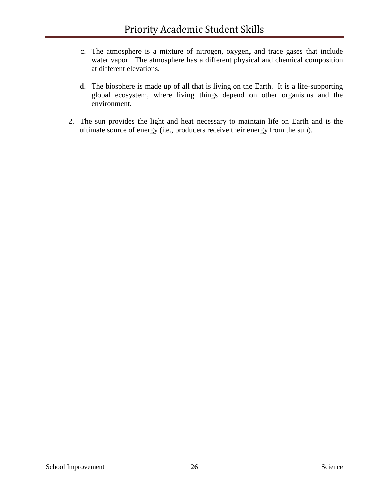- c. The atmosphere is a mixture of nitrogen, oxygen, and trace gases that include water vapor. The atmosphere has a different physical and chemical composition at different elevations.
- d. The biosphere is made up of all that is living on the Earth. It is a life-supporting global ecosystem, where living things depend on other organisms and the environment.
- 2. The sun provides the light and heat necessary to maintain life on Earth and is the ultimate source of energy (i.e., producers receive their energy from the sun).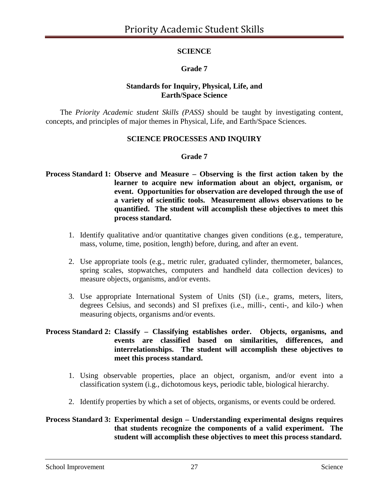# **SCIENCE**

# **Grade 7**

### **Standards for Inquiry, Physical, Life, and Earth/Space Science**

The *Priority Academic student Skills (PASS)* should be taught by investigating content, concepts, and principles of major themes in Physical, Life, and Earth/Space Sciences.

## **SCIENCE PROCESSES AND INQUIRY**

### **Grade 7**

- **Process Standard 1: Observe and Measure – Observing is the first action taken by the learner to acquire new information about an object, organism, or event. Opportunities for observation are developed through the use of a variety of scientific tools. Measurement allows observations to be quantified. The student will accomplish these objectives to meet this process standard.**
	- 1. Identify qualitative and/or quantitative changes given conditions (e.g., temperature, mass, volume, time, position, length) before, during, and after an event.
	- 2. Use appropriate tools (e.g., metric ruler, graduated cylinder, thermometer, balances, spring scales, stopwatches, computers and handheld data collection devices) to measure objects, organisms, and/or events.
	- 3. Use appropriate International System of Units (SI) (i.e., grams, meters, liters, degrees Celsius, and seconds) and SI prefixes (i.e., milli-, centi-, and kilo-) when measuring objects, organisms and/or events.

### **Process Standard 2: Classify – Classifying establishes order. Objects, organisms, and events are classified based on similarities, differences, and interrelationships. The student will accomplish these objectives to meet this process standard.**

- 1. Using observable properties, place an object, organism, and/or event into a classification system (i.g., dichotomous keys, periodic table, biological hierarchy.
- 2. Identify properties by which a set of objects, organisms, or events could be ordered.

## **Process Standard 3: Experimental design – Understanding experimental designs requires that students recognize the components of a valid experiment. The student will accomplish these objectives to meet this process standard.**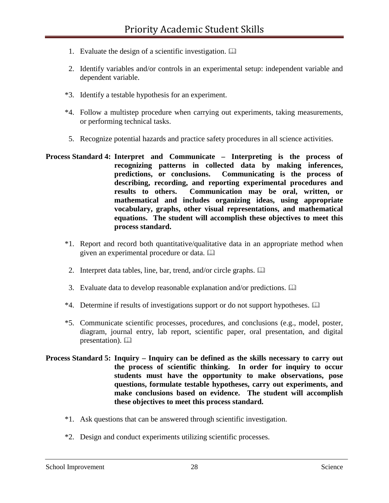- 1. Evaluate the design of a scientific investigation.
- 2. Identify variables and/or controls in an experimental setup: independent variable and dependent variable.
- \*3. Identify a testable hypothesis for an experiment.
- \*4. Follow a multistep procedure when carrying out experiments, taking measurements, or performing technical tasks.
- 5. Recognize potential hazards and practice safety procedures in all science activities.
- **Process Standard 4: Interpret and Communicate – Interpreting is the process of recognizing patterns in collected data by making inferences, predictions, or conclusions. Communicating is the process of describing, recording, and reporting experimental procedures and results to others. Communication may be oral, written, or mathematical and includes organizing ideas, using appropriate vocabulary, graphs, other visual representations, and mathematical equations. The student will accomplish these objectives to meet this process standard.**
	- \*1. Report and record both quantitative/qualitative data in an appropriate method when given an experimental procedure or data.
	- 2. Interpret data tables, line, bar, trend, and/or circle graphs.
	- 3. Evaluate data to develop reasonable explanation and/or predictions.
	- \*4. Determine if results of investigations support or do not support hypotheses.
	- \*5. Communicate scientific processes, procedures, and conclusions (e.g., model, poster, diagram, journal entry, lab report, scientific paper, oral presentation, and digital presentation).
- **Process Standard 5: Inquiry – Inquiry can be defined as the skills necessary to carry out the process of scientific thinking. In order for inquiry to occur students must have the opportunity to make observations, pose questions, formulate testable hypotheses, carry out experiments, and make conclusions based on evidence. The student will accomplish these objectives to meet this process standard.**
	- \*1. Ask questions that can be answered through scientific investigation.
	- \*2. Design and conduct experiments utilizing scientific processes.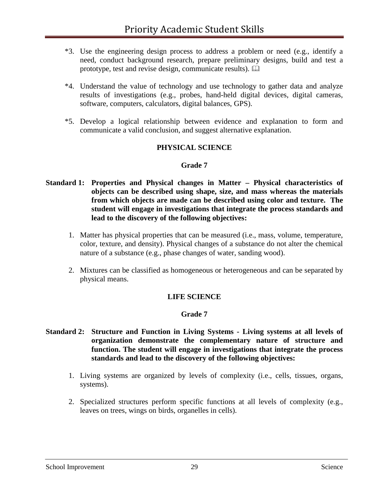- \*3. Use the engineering design process to address a problem or need (e.g., identify a need, conduct background research, prepare preliminary designs, build and test a prototype, test and revise design, communicate results).
- \*4. Understand the value of technology and use technology to gather data and analyze results of investigations (e.g., probes, hand-held digital devices, digital cameras, software, computers, calculators, digital balances, GPS).
- \*5. Develop a logical relationship between evidence and explanation to form and communicate a valid conclusion, and suggest alternative explanation.

## **PHYSICAL SCIENCE**

### **Grade 7**

- **Standard 1: Properties and Physical changes in Matter – Physical characteristics of objects can be described using shape, size, and mass whereas the materials from which objects are made can be described using color and texture. The student will engage in investigations that integrate the process standards and lead to the discovery of the following objectives:**
	- 1. Matter has physical properties that can be measured (i.e., mass, volume, temperature, color, texture, and density). Physical changes of a substance do not alter the chemical nature of a substance (e.g., phase changes of water, sanding wood).
	- 2. Mixtures can be classified as homogeneous or heterogeneous and can be separated by physical means.

### **LIFE SCIENCE**

### **Grade 7**

### **Standard 2: Structure and Function in Living Systems - Living systems at all levels of organization demonstrate the complementary nature of structure and function. The student will engage in investigations that integrate the process standards and lead to the discovery of the following objectives:**

- 1. Living systems are organized by levels of complexity (i.e., cells, tissues, organs, systems).
- 2. Specialized structures perform specific functions at all levels of complexity (e.g., leaves on trees, wings on birds, organelles in cells).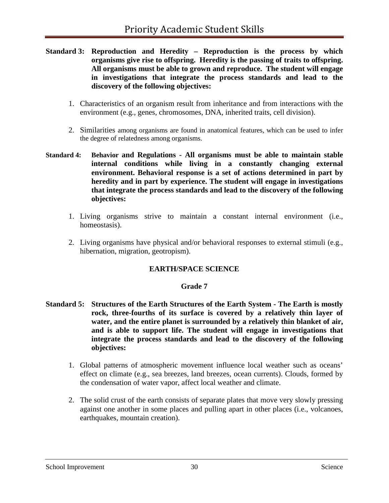- **Standard 3: Reproduction and Heredity – Reproduction is the process by which organisms give rise to offspring. Heredity is the passing of traits to offspring. All organisms must be able to grown and reproduce. The student will engage in investigations that integrate the process standards and lead to the discovery of the following objectives:**
	- 1. Characteristics of an organism result from inheritance and from interactions with the environment (e.g., genes, chromosomes, DNA, inherited traits, cell division).
	- 2. Similarities among organisms are found in anatomical features, which can be used to infer the degree of relatedness among organisms.
- **Standard 4: Behavior and Regulations - All organisms must be able to maintain stable internal conditions while living in a constantly changing external environment. Behavioral response is a set of actions determined in part by heredity and in part by experience. The student will engage in investigations that integrate the process standards and lead to the discovery of the following objectives:**
	- 1. Living organisms strive to maintain a constant internal environment (i.e., homeostasis).
	- 2. Living organisms have physical and/or behavioral responses to external stimuli (e.g., hibernation, migration, geotropism).

# **EARTH/SPACE SCIENCE**

### **Grade 7**

- **Standard 5: Structures of the Earth Structures of the Earth System - The Earth is mostly rock, three-fourths of its surface is covered by a relatively thin layer of water, and the entire planet is surrounded by a relatively thin blanket of air, and is able to support life. The student will engage in investigations that integrate the process standards and lead to the discovery of the following objectives:**
	- 1. Global patterns of atmospheric movement influence local weather such as oceans' effect on climate (e.g., sea breezes, land breezes, ocean currents). Clouds, formed by the condensation of water vapor, affect local weather and climate.
	- 2. The solid crust of the earth consists of separate plates that move very slowly pressing against one another in some places and pulling apart in other places (i.e., volcanoes, earthquakes, mountain creation).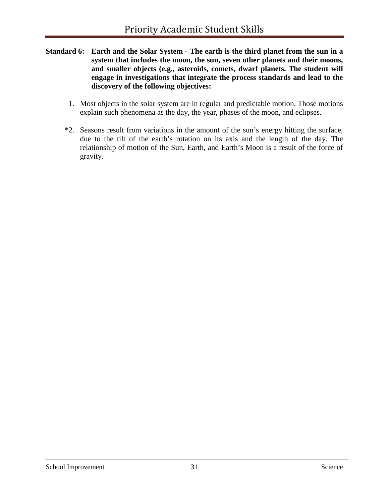- **Standard 6: Earth and the Solar System - The earth is the third planet from the sun in a system that includes the moon, the sun, seven other planets and their moons, and smaller objects (e.g., asteroids, comets, dwarf planets. The student will engage in investigations that integrate the process standards and lead to the discovery of the following objectives:**
	- 1. Most objects in the solar system are in regular and predictable motion. Those motions explain such phenomena as the day, the year, phases of the moon, and eclipses.
	- \*2. Seasons result from variations in the amount of the sun's energy hitting the surface, due to the tilt of the earth's rotation on its axis and the length of the day. The relationship of motion of the Sun, Earth, and Earth's Moon is a result of the force of gravity.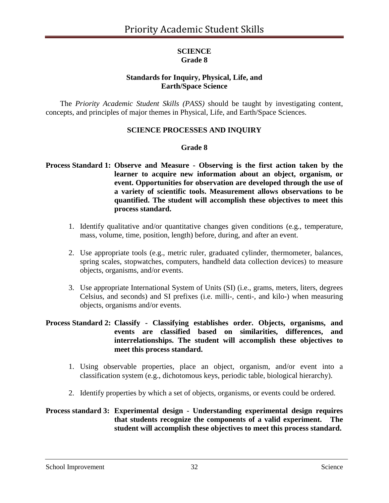### **SCIENCE Grade 8**

# **Standards for Inquiry, Physical, Life, and Earth/Space Science**

The *Priority Academic Student Skills (PASS)* should be taught by investigating content, concepts, and principles of major themes in Physical, Life, and Earth/Space Sciences.

## **SCIENCE PROCESSES AND INQUIRY**

### **Grade 8**

### **Process Standard 1: Observe and Measure - Observing is the first action taken by the learner to acquire new information about an object, organism, or event. Opportunities for observation are developed through the use of a variety of scientific tools. Measurement allows observations to be quantified. The student will accomplish these objectives to meet this process standard.**

- 1. Identify qualitative and/or quantitative changes given conditions (e.g., temperature, mass, volume, time, position, length) before, during, and after an event.
- 2. Use appropriate tools (e.g., metric ruler, graduated cylinder, thermometer, balances, spring scales, stopwatches, computers, handheld data collection devices) to measure objects, organisms, and/or events.
- 3. Use appropriate International System of Units (SI) (i.e., grams, meters, liters, degrees Celsius, and seconds) and SI prefixes (i.e. milli-, centi-, and kilo-) when measuring objects, organisms and/or events.

### **Process Standard 2: Classify - Classifying establishes order. Objects, organisms, and events are classified based on similarities, differences, and interrelationships. The student will accomplish these objectives to meet this process standard.**

- 1. Using observable properties, place an object, organism, and/or event into a classification system (e.g., dichotomous keys, periodic table, biological hierarchy).
- 2. Identify properties by which a set of objects, organisms, or events could be ordered.

### **Process standard 3: Experimental design - Understanding experimental design requires that students recognize the components of a valid experiment. The student will accomplish these objectives to meet this process standard.**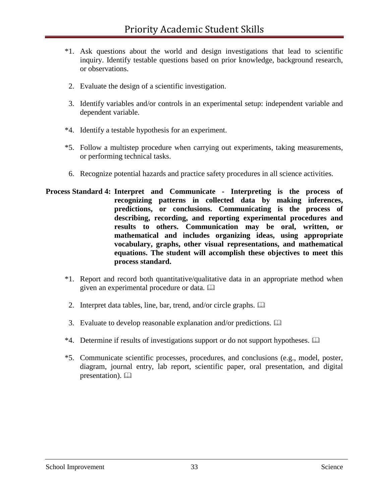- \*1. Ask questions about the world and design investigations that lead to scientific inquiry. Identify testable questions based on prior knowledge, background research, or observations.
- 2. Evaluate the design of a scientific investigation.
- 3. Identify variables and/or controls in an experimental setup: independent variable and dependent variable.
- \*4. Identify a testable hypothesis for an experiment.
- \*5. Follow a multistep procedure when carrying out experiments, taking measurements, or performing technical tasks.
- 6. Recognize potential hazards and practice safety procedures in all science activities.
- **Process Standard 4: Interpret and Communicate - Interpreting is the process of recognizing patterns in collected data by making inferences, predictions, or conclusions. Communicating is the process of describing, recording, and reporting experimental procedures and results to others. Communication may be oral, written, or mathematical and includes organizing ideas, using appropriate vocabulary, graphs, other visual representations, and mathematical equations. The student will accomplish these objectives to meet this process standard.**
	- \*1. Report and record both quantitative/qualitative data in an appropriate method when given an experimental procedure or data.
	- 2. Interpret data tables, line, bar, trend, and/or circle graphs.
	- 3. Evaluate to develop reasonable explanation and/or predictions.
	- $*4$ . Determine if results of investigations support or do not support hypotheses.  $\Box$
	- \*5. Communicate scientific processes, procedures, and conclusions (e.g., model, poster, diagram, journal entry, lab report, scientific paper, oral presentation, and digital presentation).  $\Box$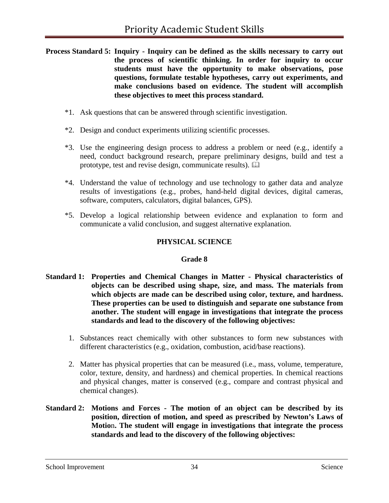- **Process Standard 5: Inquiry - Inquiry can be defined as the skills necessary to carry out the process of scientific thinking. In order for inquiry to occur students must have the opportunity to make observations, pose questions, formulate testable hypotheses, carry out experiments, and make conclusions based on evidence. The student will accomplish these objectives to meet this process standard.**
	- \*1. Ask questions that can be answered through scientific investigation.
	- \*2. Design and conduct experiments utilizing scientific processes.
	- \*3. Use the engineering design process to address a problem or need (e.g., identify a need, conduct background research, prepare preliminary designs, build and test a prototype, test and revise design, communicate results).
	- \*4. Understand the value of technology and use technology to gather data and analyze results of investigations (e.g., probes, hand-held digital devices, digital cameras, software, computers, calculators, digital balances, GPS).
	- \*5. Develop a logical relationship between evidence and explanation to form and communicate a valid conclusion, and suggest alternative explanation.

# **PHYSICAL SCIENCE**

### **Grade 8**

- **Standard 1: Properties and Chemical Changes in Matter - Physical characteristics of objects can be described using shape, size, and mass. The materials from which objects are made can be described using color, texture, and hardness. These properties can be used to distinguish and separate one substance from another. The student will engage in investigations that integrate the process standards and lead to the discovery of the following objectives:**
	- 1. Substances react chemically with other substances to form new substances with different characteristics (e.g., oxidation, combustion, acid/base reactions).
	- 2. Matter has physical properties that can be measured (i.e., mass, volume, temperature, color, texture, density, and hardness) and chemical properties. In chemical reactions and physical changes, matter is conserved (e.g., compare and contrast physical and chemical changes).
- **Standard 2: Motions and Forces - The motion of an object can be described by its position, direction of motion, and speed as prescribed by Newton's Laws of Motio**n**. The student will engage in investigations that integrate the process standards and lead to the discovery of the following objectives:**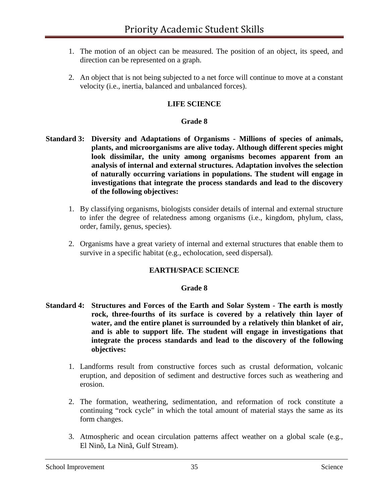- 1. The motion of an object can be measured. The position of an object, its speed, and direction can be represented on a graph.
- 2. An object that is not being subjected to a net force will continue to move at a constant velocity (i.e., inertia, balanced and unbalanced forces).

### **LIFE SCIENCE**

#### **Grade 8**

- **Standard 3: Diversity and Adaptations of Organisms - Millions of species of animals, plants, and microorganisms are alive today. Although different species might look dissimilar, the unity among organisms becomes apparent from an analysis of internal and external structures. Adaptation involves the selection of naturally occurring variations in populations. The student will engage in investigations that integrate the process standards and lead to the discovery of the following objectives:**
	- 1. By classifying organisms, biologists consider details of internal and external structure to infer the degree of relatedness among organisms (i.e., kingdom, phylum, class, order, family, genus, species).
	- 2. Organisms have a great variety of internal and external structures that enable them to survive in a specific habitat (e.g., echolocation, seed dispersal).

#### **EARTH/SPACE SCIENCE**

#### **Grade 8**

- **Standard 4: Structures and Forces of the Earth and Solar System - The earth is mostly rock, three-fourths of its surface is covered by a relatively thin layer of water, and the entire planet is surrounded by a relatively thin blanket of air, and is able to support life. The student will engage in investigations that integrate the process standards and lead to the discovery of the following objectives:**
	- 1. Landforms result from constructive forces such as crustal deformation, volcanic eruption, and deposition of sediment and destructive forces such as weathering and erosion.
	- 2. The formation, weathering, sedimentation, and reformation of rock constitute a continuing "rock cycle" in which the total amount of material stays the same as its form changes.
	- 3. Atmospheric and ocean circulation patterns affect weather on a global scale (e.g., El Ninõ, La Ninã, Gulf Stream).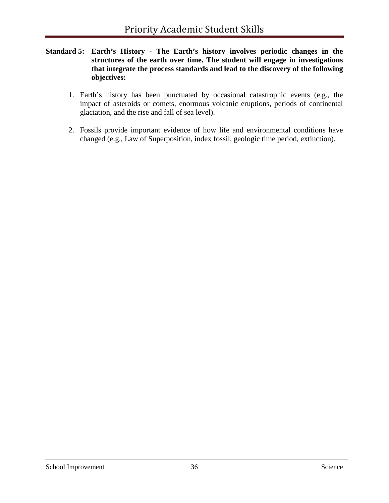- **Standard 5: Earth's History - The Earth's history involves periodic changes in the structures of the earth over time. The student will engage in investigations that integrate the process standards and lead to the discovery of the following objectives:**
	- 1. Earth's history has been punctuated by occasional catastrophic events (e.g., the impact of asteroids or comets, enormous volcanic eruptions, periods of continental glaciation, and the rise and fall of sea level).
	- 2. Fossils provide important evidence of how life and environmental conditions have changed (e.g., Law of Superposition, index fossil, geologic time period, extinction).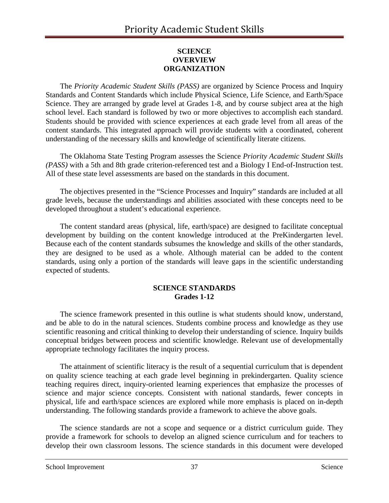## **SCIENCE OVERVIEW ORGANIZATION**

The *Priority Academic Student Skills (PASS)* are organized by Science Process and Inquiry Standards and Content Standards which include Physical Science, Life Science, and Earth/Space Science. They are arranged by grade level at Grades 1-8, and by course subject area at the high school level. Each standard is followed by two or more objectives to accomplish each standard. Students should be provided with science experiences at each grade level from all areas of the content standards. This integrated approach will provide students with a coordinated, coherent understanding of the necessary skills and knowledge of scientifically literate citizens.

The Oklahoma State Testing Program assesses the Science *Priority Academic Student Skills (PASS)* with a 5th and 8th grade criterion-referenced test and a Biology I End-of-Instruction test. All of these state level assessments are based on the standards in this document.

The objectives presented in the "Science Processes and Inquiry" standards are included at all grade levels, because the understandings and abilities associated with these concepts need to be developed throughout a student's educational experience.

The content standard areas (physical, life, earth/space) are designed to facilitate conceptual development by building on the content knowledge introduced at the PreKindergarten level. Because each of the content standards subsumes the knowledge and skills of the other standards, they are designed to be used as a whole. Although material can be added to the content standards, using only a portion of the standards will leave gaps in the scientific understanding expected of students.

### **SCIENCE STANDARDS Grades 1-12**

The science framework presented in this outline is what students should know, understand, and be able to do in the natural sciences. Students combine process and knowledge as they use scientific reasoning and critical thinking to develop their understanding of science. Inquiry builds conceptual bridges between process and scientific knowledge. Relevant use of developmentally appropriate technology facilitates the inquiry process.

The attainment of scientific literacy is the result of a sequential curriculum that is dependent on quality science teaching at each grade level beginning in prekindergarten. Quality science teaching requires direct, inquiry-oriented learning experiences that emphasize the processes of science and major science concepts. Consistent with national standards, fewer concepts in physical, life and earth/space sciences are explored while more emphasis is placed on in-depth understanding. The following standards provide a framework to achieve the above goals.

The science standards are not a scope and sequence or a district curriculum guide. They provide a framework for schools to develop an aligned science curriculum and for teachers to develop their own classroom lessons. The science standards in this document were developed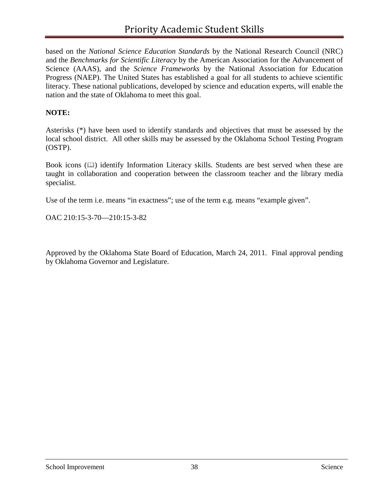based on the *National Science Education Standards* by the National Research Council (NRC) and the *Benchmarks for Scientific Literacy* by the American Association for the Advancement of Science (AAAS), and the *Science Frameworks* by the National Association for Education Progress (NAEP). The United States has established a goal for all students to achieve scientific literacy. These national publications, developed by science and education experts, will enable the nation and the state of Oklahoma to meet this goal.

### **NOTE:**

Asterisks (\*) have been used to identify standards and objectives that must be assessed by the local school district. All other skills may be assessed by the Oklahoma School Testing Program (OSTP).

Book icons  $(\Box)$  identify Information Literacy skills. Students are best served when these are taught in collaboration and cooperation between the classroom teacher and the library media specialist.

Use of the term i.e. means "in exactness"; use of the term e.g. means "example given".

OAC 210:15-3-70—210:15-3-82

Approved by the Oklahoma State Board of Education, March 24, 2011. Final approval pending by Oklahoma Governor and Legislature.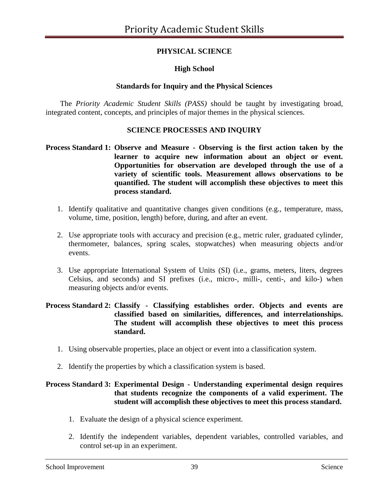# **PHYSICAL SCIENCE**

## **High School**

### **Standards for Inquiry and the Physical Sciences**

The *Priority Academic Student Skills (PASS)* should be taught by investigating broad, integrated content, concepts, and principles of major themes in the physical sciences.

### **SCIENCE PROCESSES AND INQUIRY**

### **Process Standard 1: Observe and Measure - Observing is the first action taken by the learner to acquire new information about an object or event. Opportunities for observation are developed through the use of a variety of scientific tools. Measurement allows observations to be quantified. The student will accomplish these objectives to meet this process standard.**

- 1. Identify qualitative and quantitative changes given conditions (e.g., temperature, mass, volume, time, position, length) before, during, and after an event.
- 2. Use appropriate tools with accuracy and precision (e.g., metric ruler, graduated cylinder, thermometer, balances, spring scales, stopwatches) when measuring objects and/or events.
- 3. Use appropriate International System of Units (SI) (i.e., grams, meters, liters, degrees Celsius, and seconds) and SI prefixes (i.e., micro-, milli-, centi-, and kilo-) when measuring objects and/or events.

### **Process Standard 2: Classify - Classifying establishes order. Objects and events are classified based on similarities, differences, and interrelationships. The student will accomplish these objectives to meet this process standard.**

- 1. Using observable properties, place an object or event into a classification system.
- 2. Identify the properties by which a classification system is based.

### **Process Standard 3: Experimental Design - Understanding experimental design requires that students recognize the components of a valid experiment. The student will accomplish these objectives to meet this process standard.**

- 1. Evaluate the design of a physical science experiment.
- 2. Identify the independent variables, dependent variables, controlled variables, and control set-up in an experiment.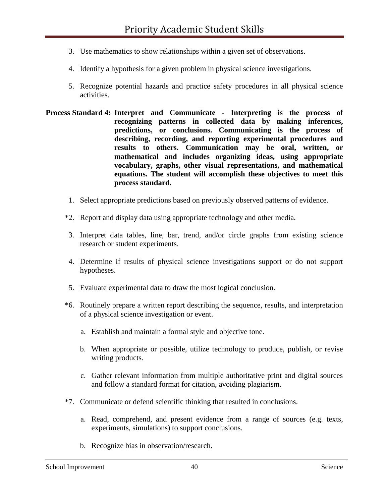- 3. Use mathematics to show relationships within a given set of observations.
- 4. Identify a hypothesis for a given problem in physical science investigations.
- 5. Recognize potential hazards and practice safety procedures in all physical science activities.
- **Process Standard 4: Interpret and Communicate - Interpreting is the process of recognizing patterns in collected data by making inferences, predictions, or conclusions. Communicating is the process of describing, recording, and reporting experimental procedures and results to others. Communication may be oral, written, or mathematical and includes organizing ideas, using appropriate vocabulary, graphs, other visual representations, and mathematical equations. The student will accomplish these objectives to meet this process standard.**
	- 1. Select appropriate predictions based on previously observed patterns of evidence.
	- \*2. Report and display data using appropriate technology and other media.
	- 3. Interpret data tables, line, bar, trend, and/or circle graphs from existing science research or student experiments.
	- 4. Determine if results of physical science investigations support or do not support hypotheses.
	- 5. Evaluate experimental data to draw the most logical conclusion.
	- \*6. Routinely prepare a written report describing the sequence, results, and interpretation of a physical science investigation or event.
		- a. Establish and maintain a formal style and objective tone.
		- b. When appropriate or possible, utilize technology to produce, publish, or revise writing products.
		- c. Gather relevant information from multiple authoritative print and digital sources and follow a standard format for citation, avoiding plagiarism.
	- \*7. Communicate or defend scientific thinking that resulted in conclusions.
		- a. Read, comprehend, and present evidence from a range of sources (e.g. texts, experiments, simulations) to support conclusions.
		- b. Recognize bias in observation/research.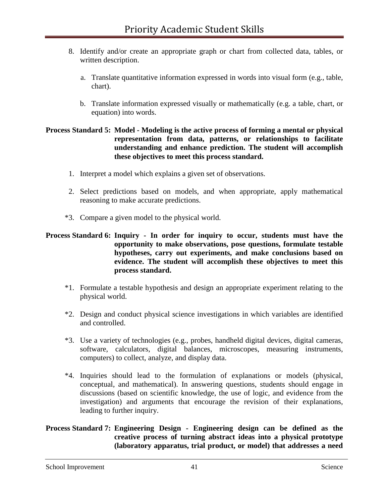- 8. Identify and/or create an appropriate graph or chart from collected data, tables, or written description.
	- a. Translate quantitative information expressed in words into visual form (e.g., table, chart).
	- b. Translate information expressed visually or mathematically (e.g. a table, chart, or equation) into words.

### **Process Standard 5: Model - Modeling is the active process of forming a mental or physical representation from data, patterns, or relationships to facilitate understanding and enhance prediction. The student will accomplish these objectives to meet this process standard.**

- 1. Interpret a model which explains a given set of observations.
- 2. Select predictions based on models, and when appropriate, apply mathematical reasoning to make accurate predictions.
- \*3. Compare a given model to the physical world.

### **Process Standard 6: Inquiry - In order for inquiry to occur, students must have the opportunity to make observations, pose questions, formulate testable hypotheses, carry out experiments, and make conclusions based on evidence. The student will accomplish these objectives to meet this process standard.**

- \*1. Formulate a testable hypothesis and design an appropriate experiment relating to the physical world.
- \*2. Design and conduct physical science investigations in which variables are identified and controlled.
- \*3. Use a variety of technologies (e.g., probes, handheld digital devices, digital cameras, software, calculators, digital balances, microscopes, measuring instruments, computers) to collect, analyze, and display data.
- \*4. Inquiries should lead to the formulation of explanations or models (physical, conceptual, and mathematical). In answering questions, students should engage in discussions (based on scientific knowledge, the use of logic, and evidence from the investigation) and arguments that encourage the revision of their explanations, leading to further inquiry.

### **Process Standard 7: Engineering Design - Engineering design can be defined as the creative process of turning abstract ideas into a physical prototype (laboratory apparatus, trial product, or model) that addresses a need**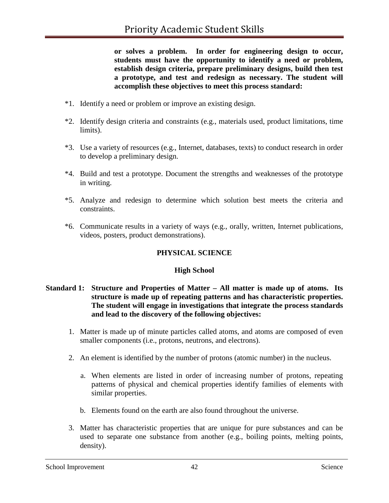**or solves a problem. In order for engineering design to occur, students must have the opportunity to identify a need or problem, establish design criteria, prepare preliminary designs, build then test a prototype, and test and redesign as necessary. The student will accomplish these objectives to meet this process standard:**

- \*1. Identify a need or problem or improve an existing design.
- \*2. Identify design criteria and constraints (e.g., materials used, product limitations, time limits).
- \*3. Use a variety of resources (e.g., Internet, databases, texts) to conduct research in order to develop a preliminary design.
- \*4. Build and test a prototype. Document the strengths and weaknesses of the prototype in writing.
- \*5. Analyze and redesign to determine which solution best meets the criteria and constraints.
- \*6. Communicate results in a variety of ways (e.g., orally, written, Internet publications, videos, posters, product demonstrations).

# **PHYSICAL SCIENCE**

### **High School**

### **Standard 1: Structure and Properties of Matter – All matter is made up of atoms. Its structure is made up of repeating patterns and has characteristic properties. The student will engage in investigations that integrate the process standards and lead to the discovery of the following objectives:**

- 1. Matter is made up of minute particles called atoms, and atoms are composed of even smaller components (i.e., protons, neutrons, and electrons).
- 2. An element is identified by the number of protons (atomic number) in the nucleus.
	- a. When elements are listed in order of increasing number of protons, repeating patterns of physical and chemical properties identify families of elements with similar properties.
	- b. Elements found on the earth are also found throughout the universe.
- 3. Matter has characteristic properties that are unique for pure substances and can be used to separate one substance from another (e.g., boiling points, melting points, density).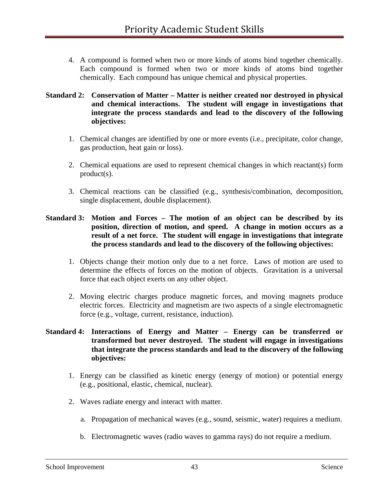4. A compound is formed when two or more kinds of atoms bind together chemically. Each compound is formed when two or more kinds of atoms bind together chemically. Each compound has unique chemical and physical properties.

### **Standard 2: Conservation of Matter – Matter is neither created nor destroyed in physical and chemical interactions. The student will engage in investigations that integrate the process standards and lead to the discovery of the following objectives:**

- 1. Chemical changes are identified by one or more events (i.e., precipitate, color change, gas production, heat gain or loss).
- 2. Chemical equations are used to represent chemical changes in which reactant(s) form product(s).
- 3. Chemical reactions can be classified (e.g., synthesis/combination, decomposition, single displacement, double displacement).

### **Standard 3: Motion and Forces – The motion of an object can be described by its position, direction of motion, and speed. A change in motion occurs as a result of a net force. The student will engage in investigations that integrate the process standards and lead to the discovery of the following objectives:**

- 1. Objects change their motion only due to a net force. Laws of motion are used to determine the effects of forces on the motion of objects. Gravitation is a universal force that each object exerts on any other object.
- 2. Moving electric charges produce magnetic forces, and moving magnets produce electric forces. Electricity and magnetism are two aspects of a single electromagnetic force (e.g., voltage, current, resistance, induction).

### **Standard 4: Interactions of Energy and Matter – Energy can be transferred or transformed but never destroyed. The student will engage in investigations that integrate the process standards and lead to the discovery of the following objectives:**

- 1. Energy can be classified as kinetic energy (energy of motion) or potential energy (e.g., positional, elastic, chemical, nuclear).
- 2. Waves radiate energy and interact with matter.
	- a. Propagation of mechanical waves (e.g., sound, seismic, water) requires a medium.
	- b. Electromagnetic waves (radio waves to gamma rays) do not require a medium.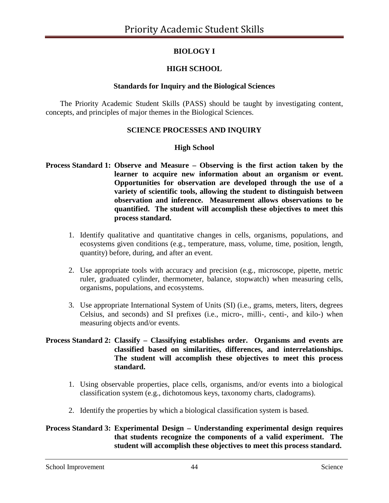# **BIOLOGY I**

# **HIGH SCHOOL**

### **Standards for Inquiry and the Biological Sciences**

The Priority Academic Student Skills (PASS) should be taught by investigating content, concepts, and principles of major themes in the Biological Sciences.

## **SCIENCE PROCESSES AND INQUIRY**

## **High School**

- **Process Standard 1: Observe and Measure – Observing is the first action taken by the learner to acquire new information about an organism or event. Opportunities for observation are developed through the use of a variety of scientific tools, allowing the student to distinguish between observation and inference. Measurement allows observations to be quantified. The student will accomplish these objectives to meet this process standard.**
	- 1. Identify qualitative and quantitative changes in cells, organisms, populations, and ecosystems given conditions (e.g., temperature, mass, volume, time, position, length, quantity) before, during, and after an event.
	- 2. Use appropriate tools with accuracy and precision (e.g., microscope, pipette, metric ruler, graduated cylinder, thermometer, balance, stopwatch) when measuring cells, organisms, populations, and ecosystems.
	- 3. Use appropriate International System of Units (SI) (i.e., grams, meters, liters, degrees Celsius, and seconds) and SI prefixes (i.e., micro-, milli-, centi-, and kilo-) when measuring objects and/or events.

### **Process Standard 2: Classify – Classifying establishes order. Organisms and events are classified based on similarities, differences, and interrelationships. The student will accomplish these objectives to meet this process standard.**

- 1. Using observable properties, place cells, organisms, and/or events into a biological classification system (e.g., dichotomous keys, taxonomy charts, cladograms).
- 2. Identify the properties by which a biological classification system is based.

## **Process Standard 3: Experimental Design – Understanding experimental design requires that students recognize the components of a valid experiment. The student will accomplish these objectives to meet this process standard.**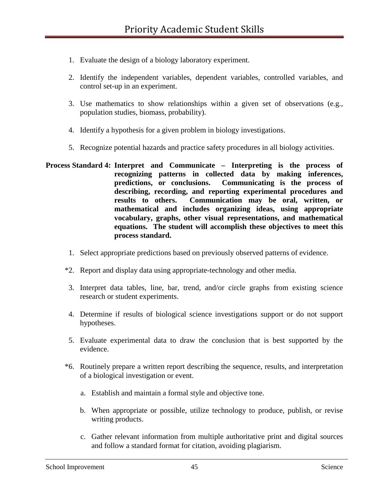- 1. Evaluate the design of a biology laboratory experiment.
- 2. Identify the independent variables, dependent variables, controlled variables, and control set-up in an experiment.
- 3. Use mathematics to show relationships within a given set of observations (e.g., population studies, biomass, probability).
- 4. Identify a hypothesis for a given problem in biology investigations.
- 5. Recognize potential hazards and practice safety procedures in all biology activities.
- **Process Standard 4: Interpret and Communicate – Interpreting is the process of recognizing patterns in collected data by making inferences, predictions, or conclusions. Communicating is the process of describing, recording, and reporting experimental procedures and results to others. Communication may be oral, written, or mathematical and includes organizing ideas, using appropriate vocabulary, graphs, other visual representations, and mathematical equations. The student will accomplish these objectives to meet this process standard.**
	- 1. Select appropriate predictions based on previously observed patterns of evidence.
	- \*2. Report and display data using appropriate-technology and other media.
	- 3. Interpret data tables, line, bar, trend, and/or circle graphs from existing science research or student experiments.
	- 4. Determine if results of biological science investigations support or do not support hypotheses.
	- 5. Evaluate experimental data to draw the conclusion that is best supported by the evidence.
	- \*6. Routinely prepare a written report describing the sequence, results, and interpretation of a biological investigation or event.
		- a. Establish and maintain a formal style and objective tone.
		- b. When appropriate or possible, utilize technology to produce, publish, or revise writing products.
		- c. Gather relevant information from multiple authoritative print and digital sources and follow a standard format for citation, avoiding plagiarism.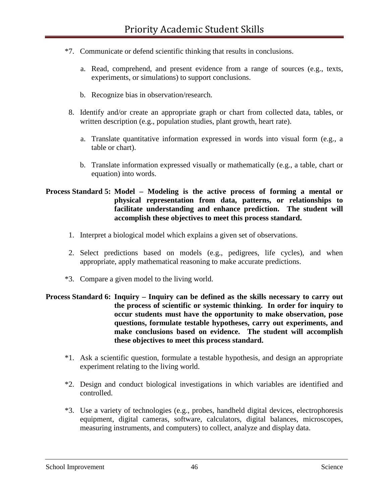- \*7. Communicate or defend scientific thinking that results in conclusions.
	- a. Read, comprehend, and present evidence from a range of sources (e.g., texts, experiments, or simulations) to support conclusions.
	- b. Recognize bias in observation/research.
- 8. Identify and/or create an appropriate graph or chart from collected data, tables, or written description (e.g., population studies, plant growth, heart rate).
	- a. Translate quantitative information expressed in words into visual form (e.g., a table or chart).
	- b. Translate information expressed visually or mathematically (e.g., a table, chart or equation) into words.

### **Process Standard 5: Model – Modeling is the active process of forming a mental or physical representation from data, patterns, or relationships to facilitate understanding and enhance prediction. The student will accomplish these objectives to meet this process standard.**

- 1. Interpret a biological model which explains a given set of observations.
- 2. Select predictions based on models (e.g., pedigrees, life cycles), and when appropriate, apply mathematical reasoning to make accurate predictions.
- \*3. Compare a given model to the living world.

### **Process Standard 6: Inquiry – Inquiry can be defined as the skills necessary to carry out the process of scientific or systemic thinking. In order for inquiry to occur students must have the opportunity to make observation, pose questions, formulate testable hypotheses, carry out experiments, and make conclusions based on evidence. The student will accomplish these objectives to meet this process standard.**

- \*1. Ask a scientific question, formulate a testable hypothesis, and design an appropriate experiment relating to the living world.
- \*2. Design and conduct biological investigations in which variables are identified and controlled.
- \*3. Use a variety of technologies (e.g., probes, handheld digital devices, electrophoresis equipment, digital cameras, software, calculators, digital balances, microscopes, measuring instruments, and computers) to collect, analyze and display data.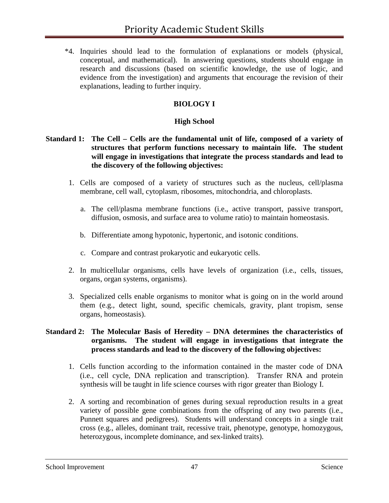\*4. Inquiries should lead to the formulation of explanations or models (physical, conceptual, and mathematical). In answering questions, students should engage in research and discussions (based on scientific knowledge, the use of logic, and evidence from the investigation) and arguments that encourage the revision of their explanations, leading to further inquiry.

# **BIOLOGY I**

### **High School**

### **Standard 1: The Cell – Cells are the fundamental unit of life, composed of a variety of structures that perform functions necessary to maintain life. The student will engage in investigations that integrate the process standards and lead to the discovery of the following objectives:**

- 1. Cells are composed of a variety of structures such as the nucleus, cell/plasma membrane, cell wall, cytoplasm, ribosomes, mitochondria, and chloroplasts.
	- a. The cell/plasma membrane functions (i.e., active transport, passive transport, diffusion, osmosis, and surface area to volume ratio) to maintain homeostasis.
	- b. Differentiate among hypotonic, hypertonic, and isotonic conditions.
	- c. Compare and contrast prokaryotic and eukaryotic cells.
- 2. In multicellular organisms, cells have levels of organization (i.e., cells, tissues, organs, organ systems, organisms).
- 3. Specialized cells enable organisms to monitor what is going on in the world around them (e.g., detect light, sound, specific chemicals, gravity, plant tropism, sense organs, homeostasis).

### **Standard 2: The Molecular Basis of Heredity – DNA determines the characteristics of organisms. The student will engage in investigations that integrate the process standards and lead to the discovery of the following objectives:**

- 1. Cells function according to the information contained in the master code of DNA (i.e., cell cycle, DNA replication and transcription). Transfer RNA and protein synthesis will be taught in life science courses with rigor greater than Biology I.
- 2. A sorting and recombination of genes during sexual reproduction results in a great variety of possible gene combinations from the offspring of any two parents (i.e., Punnett squares and pedigrees). Students will understand concepts in a single trait cross (e.g., alleles, dominant trait, recessive trait, phenotype, genotype, homozygous, heterozygous, incomplete dominance, and sex-linked traits).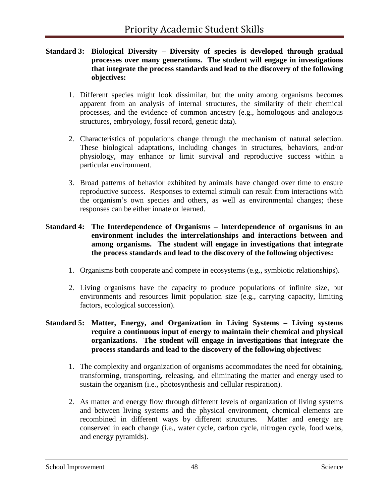### **Standard 3: Biological Diversity – Diversity of species is developed through gradual processes over many generations. The student will engage in investigations that integrate the process standards and lead to the discovery of the following objectives:**

- 1. Different species might look dissimilar, but the unity among organisms becomes apparent from an analysis of internal structures, the similarity of their chemical processes, and the evidence of common ancestry (e.g., homologous and analogous structures, embryology, fossil record, genetic data).
- 2. Characteristics of populations change through the mechanism of natural selection. These biological adaptations, including changes in structures, behaviors, and/or physiology, may enhance or limit survival and reproductive success within a particular environment.
- 3. Broad patterns of behavior exhibited by animals have changed over time to ensure reproductive success. Responses to external stimuli can result from interactions with the organism's own species and others, as well as environmental changes; these responses can be either innate or learned.

### **Standard 4: The Interdependence of Organisms – Interdependence of organisms in an environment includes the interrelationships and interactions between and among organisms. The student will engage in investigations that integrate the process standards and lead to the discovery of the following objectives:**

- 1. Organisms both cooperate and compete in ecosystems (e.g., symbiotic relationships).
- 2. Living organisms have the capacity to produce populations of infinite size, but environments and resources limit population size (e.g., carrying capacity, limiting factors, ecological succession).

### **Standard 5: Matter, Energy, and Organization in Living Systems – Living systems require a continuous input of energy to maintain their chemical and physical organizations. The student will engage in investigations that integrate the process standards and lead to the discovery of the following objectives:**

- 1. The complexity and organization of organisms accommodates the need for obtaining, transforming, transporting, releasing, and eliminating the matter and energy used to sustain the organism (i.e., photosynthesis and cellular respiration).
- 2. As matter and energy flow through different levels of organization of living systems and between living systems and the physical environment, chemical elements are recombined in different ways by different structures. Matter and energy are conserved in each change (i.e., water cycle, carbon cycle, nitrogen cycle, food webs, and energy pyramids).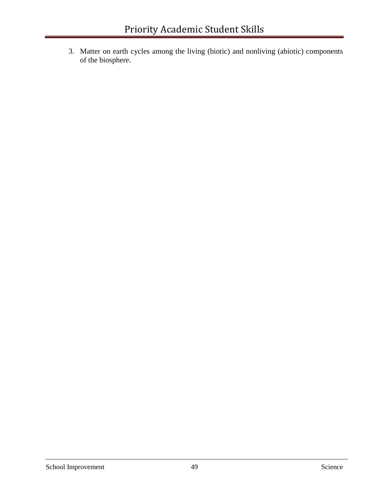3. Matter on earth cycles among the living (biotic) and nonliving (abiotic) components of the biosphere.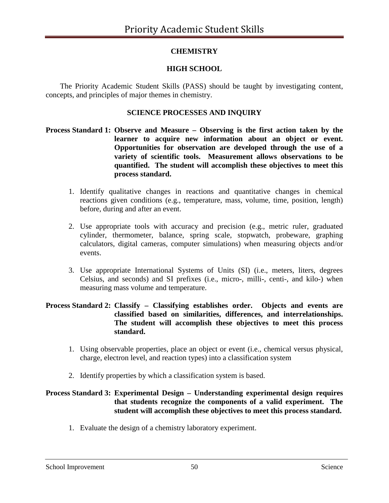# **CHEMISTRY**

# **HIGH SCHOOL**

The Priority Academic Student Skills (PASS) should be taught by investigating content, concepts, and principles of major themes in chemistry.

### **SCIENCE PROCESSES AND INQUIRY**

- **Process Standard 1: Observe and Measure – Observing is the first action taken by the learner to acquire new information about an object or event. Opportunities for observation are developed through the use of a variety of scientific tools. Measurement allows observations to be quantified. The student will accomplish these objectives to meet this process standard.**
	- 1. Identify qualitative changes in reactions and quantitative changes in chemical reactions given conditions (e.g., temperature, mass, volume, time, position, length) before, during and after an event.
	- 2. Use appropriate tools with accuracy and precision (e.g., metric ruler, graduated cylinder, thermometer, balance, spring scale, stopwatch, probeware, graphing calculators, digital cameras, computer simulations) when measuring objects and/or events.
	- 3. Use appropriate International Systems of Units (SI) (i.e., meters, liters, degrees Celsius, and seconds) and SI prefixes (i.e., micro-, milli-, centi-, and kilo-) when measuring mass volume and temperature.

### **Process Standard 2: Classify – Classifying establishes order. Objects and events are classified based on similarities, differences, and interrelationships. The student will accomplish these objectives to meet this process standard.**

- 1. Using observable properties, place an object or event (i.e., chemical versus physical, charge, electron level, and reaction types) into a classification system
- 2. Identify properties by which a classification system is based.

### **Process Standard 3: Experimental Design – Understanding experimental design requires that students recognize the components of a valid experiment. The student will accomplish these objectives to meet this process standard.**

1. Evaluate the design of a chemistry laboratory experiment.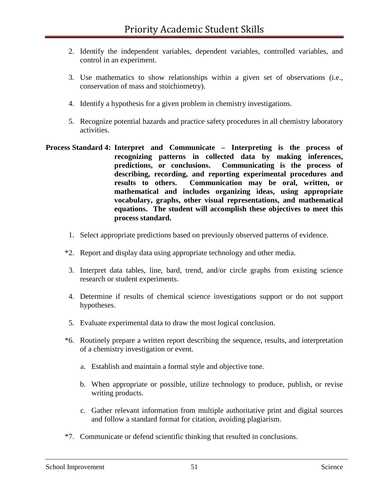- 2. Identify the independent variables, dependent variables, controlled variables, and control in an experiment.
- 3. Use mathematics to show relationships within a given set of observations (i.e., conservation of mass and stoichiometry).
- 4. Identify a hypothesis for a given problem in chemistry investigations.
- 5. Recognize potential hazards and practice safety procedures in all chemistry laboratory activities.
- **Process Standard 4: Interpret and Communicate – Interpreting is the process of recognizing patterns in collected data by making inferences, predictions, or conclusions. Communicating is the process of describing, recording, and reporting experimental procedures and results to others. Communication may be oral, written, or mathematical and includes organizing ideas, using appropriate vocabulary, graphs, other visual representations, and mathematical equations. The student will accomplish these objectives to meet this process standard.**
	- 1. Select appropriate predictions based on previously observed patterns of evidence.
	- \*2. Report and display data using appropriate technology and other media.
	- 3. Interpret data tables, line, bard, trend, and/or circle graphs from existing science research or student experiments.
	- 4. Determine if results of chemical science investigations support or do not support hypotheses.
	- 5. Evaluate experimental data to draw the most logical conclusion.
	- \*6. Routinely prepare a written report describing the sequence, results, and interpretation of a chemistry investigation or event.
		- a. Establish and maintain a formal style and objective tone.
		- b. When appropriate or possible, utilize technology to produce, publish, or revise writing products.
		- c. Gather relevant information from multiple authoritative print and digital sources and follow a standard format for citation, avoiding plagiarism.
	- \*7. Communicate or defend scientific thinking that resulted in conclusions.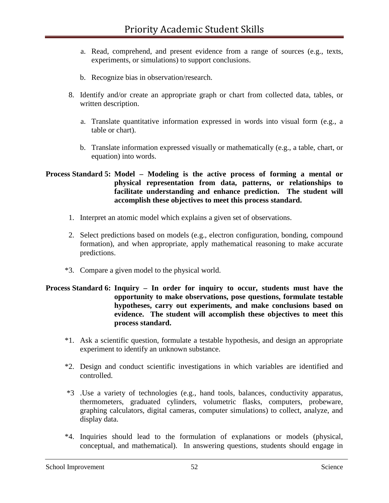- a. Read, comprehend, and present evidence from a range of sources (e.g., texts, experiments, or simulations) to support conclusions.
- b. Recognize bias in observation/research.
- 8. Identify and/or create an appropriate graph or chart from collected data, tables, or written description.
	- a. Translate quantitative information expressed in words into visual form (e.g., a table or chart).
	- b. Translate information expressed visually or mathematically (e.g., a table, chart, or equation) into words.

### **Process Standard 5: Model – Modeling is the active process of forming a mental or physical representation from data, patterns, or relationships to facilitate understanding and enhance prediction. The student will accomplish these objectives to meet this process standard.**

- 1. Interpret an atomic model which explains a given set of observations.
- 2. Select predictions based on models (e.g., electron configuration, bonding, compound formation), and when appropriate, apply mathematical reasoning to make accurate predictions.
- \*3. Compare a given model to the physical world.

### **Process Standard 6: Inquiry – In order for inquiry to occur, students must have the opportunity to make observations, pose questions, formulate testable hypotheses, carry out experiments, and make conclusions based on evidence. The student will accomplish these objectives to meet this process standard.**

- \*1. Ask a scientific question, formulate a testable hypothesis, and design an appropriate experiment to identify an unknown substance.
- \*2. Design and conduct scientific investigations in which variables are identified and controlled.
- \*3 .Use a variety of technologies (e.g., hand tools, balances, conductivity apparatus, thermometers, graduated cylinders, volumetric flasks, computers, probeware, graphing calculators, digital cameras, computer simulations) to collect, analyze, and display data.
- \*4. Inquiries should lead to the formulation of explanations or models (physical, conceptual, and mathematical). In answering questions, students should engage in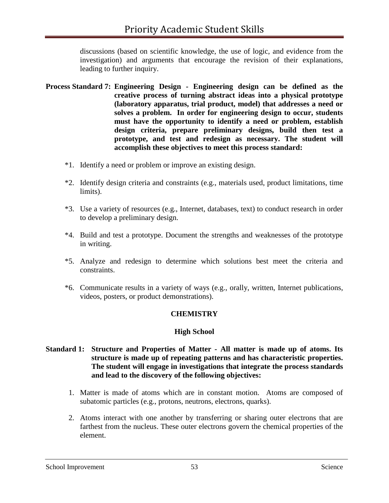discussions (based on scientific knowledge, the use of logic, and evidence from the investigation) and arguments that encourage the revision of their explanations, leading to further inquiry.

- **Process Standard 7: Engineering Design - Engineering design can be defined as the creative process of turning abstract ideas into a physical prototype (laboratory apparatus, trial product, model) that addresses a need or solves a problem. In order for engineering design to occur, students must have the opportunity to identify a need or problem, establish design criteria, prepare preliminary designs, build then test a prototype, and test and redesign as necessary. The student will accomplish these objectives to meet this process standard:**
	- \*1. Identify a need or problem or improve an existing design.
	- \*2. Identify design criteria and constraints (e.g., materials used, product limitations, time limits).
	- \*3. Use a variety of resources (e.g., Internet, databases, text) to conduct research in order to develop a preliminary design.
	- \*4. Build and test a prototype. Document the strengths and weaknesses of the prototype in writing.
	- \*5. Analyze and redesign to determine which solutions best meet the criteria and constraints.
	- \*6. Communicate results in a variety of ways (e.g., orally, written, Internet publications, videos, posters, or product demonstrations).

### **CHEMISTRY**

#### **High School**

#### **Standard 1: Structure and Properties of Matter - All matter is made up of atoms. Its structure is made up of repeating patterns and has characteristic properties. The student will engage in investigations that integrate the process standards and lead to the discovery of the following objectives:**

- 1. Matter is made of atoms which are in constant motion. Atoms are composed of subatomic particles (e.g., protons, neutrons, electrons, quarks).
- 2. Atoms interact with one another by transferring or sharing outer electrons that are farthest from the nucleus. These outer electrons govern the chemical properties of the element.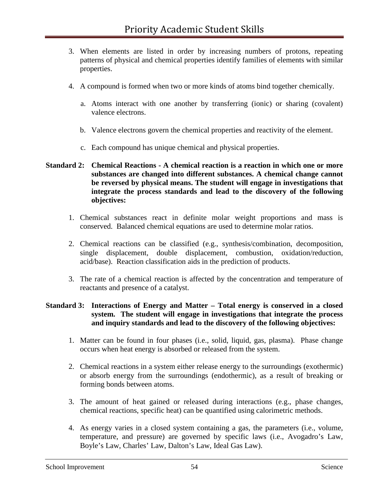- 3. When elements are listed in order by increasing numbers of protons, repeating patterns of physical and chemical properties identify families of elements with similar properties.
- 4. A compound is formed when two or more kinds of atoms bind together chemically.
	- a. Atoms interact with one another by transferring (ionic) or sharing (covalent) valence electrons.
	- b. Valence electrons govern the chemical properties and reactivity of the element.
	- c. Each compound has unique chemical and physical properties.

### **Standard 2: Chemical Reactions - A chemical reaction is a reaction in which one or more substances are changed into different substances. A chemical change cannot be reversed by physical means. The student will engage in investigations that integrate the process standards and lead to the discovery of the following objectives:**

- 1. Chemical substances react in definite molar weight proportions and mass is conserved. Balanced chemical equations are used to determine molar ratios.
- 2. Chemical reactions can be classified (e.g., synthesis/combination, decomposition, single displacement, double displacement, combustion, oxidation/reduction, acid/base). Reaction classification aids in the prediction of products.
- 3. The rate of a chemical reaction is affected by the concentration and temperature of reactants and presence of a catalyst.

### **Standard 3: Interactions of Energy and Matter – Total energy is conserved in a closed system. The student will engage in investigations that integrate the process and inquiry standards and lead to the discovery of the following objectives:**

- 1. Matter can be found in four phases (i.e., solid, liquid, gas, plasma). Phase change occurs when heat energy is absorbed or released from the system.
- 2. Chemical reactions in a system either release energy to the surroundings (exothermic) or absorb energy from the surroundings (endothermic), as a result of breaking or forming bonds between atoms.
- 3. The amount of heat gained or released during interactions (e.g., phase changes, chemical reactions, specific heat) can be quantified using calorimetric methods.
- 4. As energy varies in a closed system containing a gas, the parameters (i.e., volume, temperature, and pressure) are governed by specific laws (i.e., Avogadro's Law, Boyle's Law, Charles' Law, Dalton's Law, Ideal Gas Law).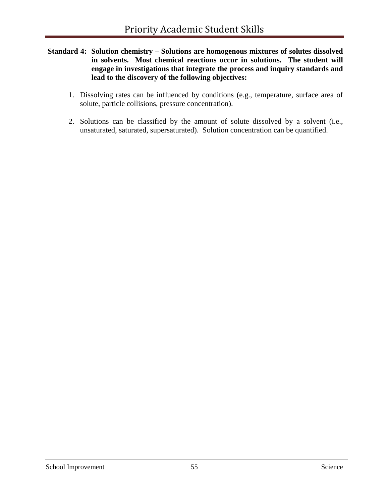- **Standard 4: Solution chemistry – Solutions are homogenous mixtures of solutes dissolved in solvents. Most chemical reactions occur in solutions. The student will engage in investigations that integrate the process and inquiry standards and lead to the discovery of the following objectives:**
	- 1. Dissolving rates can be influenced by conditions (e.g., temperature, surface area of solute, particle collisions, pressure concentration).
	- 2. Solutions can be classified by the amount of solute dissolved by a solvent (i.e., unsaturated, saturated, supersaturated). Solution concentration can be quantified.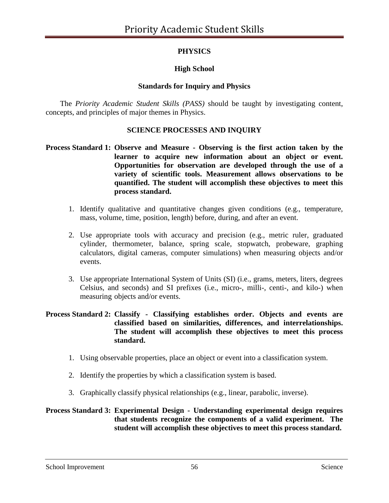# **PHYSICS**

# **High School**

## **Standards for Inquiry and Physics**

The *Priority Academic Student Skills (PASS)* should be taught by investigating content, concepts, and principles of major themes in Physics.

## **SCIENCE PROCESSES AND INQUIRY**

### **Process Standard 1: Observe and Measure - Observing is the first action taken by the learner to acquire new information about an object or event. Opportunities for observation are developed through the use of a variety of scientific tools. Measurement allows observations to be quantified. The student will accomplish these objectives to meet this process standard.**

- 1. Identify qualitative and quantitative changes given conditions (e.g., temperature, mass, volume, time, position, length) before, during, and after an event.
- 2. Use appropriate tools with accuracy and precision (e.g., metric ruler, graduated cylinder, thermometer, balance, spring scale, stopwatch, probeware, graphing calculators, digital cameras, computer simulations) when measuring objects and/or events.
- 3. Use appropriate International System of Units (SI) (i.e., grams, meters, liters, degrees Celsius, and seconds) and SI prefixes (i.e., micro-, milli-, centi-, and kilo-) when measuring objects and/or events.

### **Process Standard 2: Classify - Classifying establishes order. Objects and events are classified based on similarities, differences, and interrelationships. The student will accomplish these objectives to meet this process standard.**

- 1. Using observable properties, place an object or event into a classification system.
- 2. Identify the properties by which a classification system is based.
- 3. Graphically classify physical relationships (e.g., linear, parabolic, inverse).

### **Process Standard 3: Experimental Design - Understanding experimental design requires that students recognize the components of a valid experiment. The student will accomplish these objectives to meet this process standard.**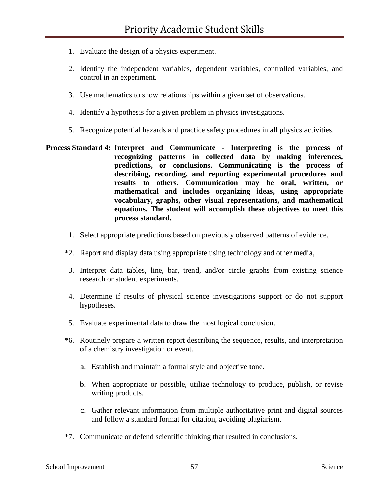- 1. Evaluate the design of a physics experiment.
- 2. Identify the independent variables, dependent variables, controlled variables, and control in an experiment.
- 3. Use mathematics to show relationships within a given set of observations.
- 4. Identify a hypothesis for a given problem in physics investigations.
- 5. Recognize potential hazards and practice safety procedures in all physics activities.
- **Process Standard 4: Interpret and Communicate - Interpreting is the process of recognizing patterns in collected data by making inferences, predictions, or conclusions. Communicating is the process of describing, recording, and reporting experimental procedures and results to others. Communication may be oral, written, or mathematical and includes organizing ideas, using appropriate vocabulary, graphs, other visual representations, and mathematical equations. The student will accomplish these objectives to meet this process standard.** 
	- 1. Select appropriate predictions based on previously observed patterns of evidence.
	- \*2. Report and display data using appropriate using technology and other media.
	- 3. Interpret data tables, line, bar, trend, and/or circle graphs from existing science research or student experiments.
	- 4. Determine if results of physical science investigations support or do not support hypotheses.
	- 5. Evaluate experimental data to draw the most logical conclusion.
	- \*6. Routinely prepare a written report describing the sequence, results, and interpretation of a chemistry investigation or event.
		- a. Establish and maintain a formal style and objective tone.
		- b. When appropriate or possible, utilize technology to produce, publish, or revise writing products.
		- c. Gather relevant information from multiple authoritative print and digital sources and follow a standard format for citation, avoiding plagiarism.
	- \*7. Communicate or defend scientific thinking that resulted in conclusions.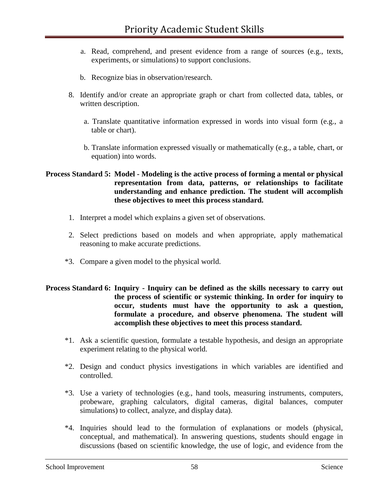- a. Read, comprehend, and present evidence from a range of sources (e.g., texts, experiments, or simulations) to support conclusions.
- b. Recognize bias in observation/research.
- 8. Identify and/or create an appropriate graph or chart from collected data, tables, or written description.
	- a. Translate quantitative information expressed in words into visual form (e.g., a table or chart).
	- b. Translate information expressed visually or mathematically (e.g., a table, chart, or equation) into words.

#### **Process Standard 5: Model - Modeling is the active process of forming a mental or physical representation from data, patterns, or relationships to facilitate understanding and enhance prediction. The student will accomplish these objectives to meet this process standard.**

- 1. Interpret a model which explains a given set of observations.
- 2. Select predictions based on models and when appropriate, apply mathematical reasoning to make accurate predictions.
- \*3. Compare a given model to the physical world.

### **Process Standard 6: Inquiry - Inquiry can be defined as the skills necessary to carry out the process of scientific or systemic thinking. In order for inquiry to occur, students must have the opportunity to ask a question, formulate a procedure, and observe phenomena. The student will accomplish these objectives to meet this process standard.**

- \*1. Ask a scientific question, formulate a testable hypothesis, and design an appropriate experiment relating to the physical world.
- \*2. Design and conduct physics investigations in which variables are identified and controlled.
- \*3. Use a variety of technologies (e.g., hand tools, measuring instruments, computers, probeware, graphing calculators, digital cameras, digital balances, computer simulations) to collect, analyze, and display data).
- \*4. Inquiries should lead to the formulation of explanations or models (physical, conceptual, and mathematical). In answering questions, students should engage in discussions (based on scientific knowledge, the use of logic, and evidence from the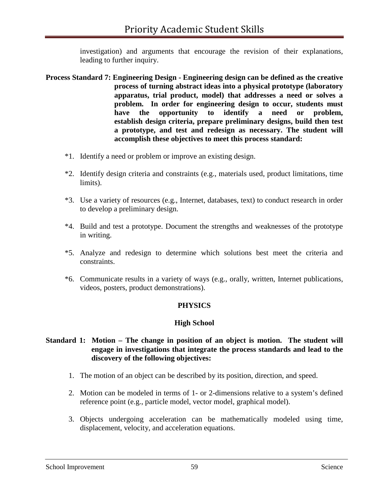investigation) and arguments that encourage the revision of their explanations, leading to further inquiry.

- **Process Standard 7: Engineering Design - Engineering design can be defined as the creative process of turning abstract ideas into a physical prototype (laboratory apparatus, trial product, model) that addresses a need or solves a problem. In order for engineering design to occur, students must have the opportunity to identify a need or problem, establish design criteria, prepare preliminary designs, build then test a prototype, and test and redesign as necessary. The student will accomplish these objectives to meet this process standard:** 
	- \*1. Identify a need or problem or improve an existing design.
	- \*2. Identify design criteria and constraints (e.g., materials used, product limitations, time limits).
	- \*3. Use a variety of resources (e.g., Internet, databases, text) to conduct research in order to develop a preliminary design.
	- \*4. Build and test a prototype. Document the strengths and weaknesses of the prototype in writing.
	- \*5. Analyze and redesign to determine which solutions best meet the criteria and constraints.
	- \*6. Communicate results in a variety of ways (e.g., orally, written, Internet publications, videos, posters, product demonstrations).

### **PHYSICS**

### **High School**

### **Standard 1: Motion – The change in position of an object is motion. The student will engage in investigations that integrate the process standards and lead to the discovery of the following objectives:**

- 1. The motion of an object can be described by its position, direction, and speed.
- 2. Motion can be modeled in terms of 1- or 2-dimensions relative to a system's defined reference point (e.g., particle model, vector model, graphical model).
- 3. Objects undergoing acceleration can be mathematically modeled using time, displacement, velocity, and acceleration equations.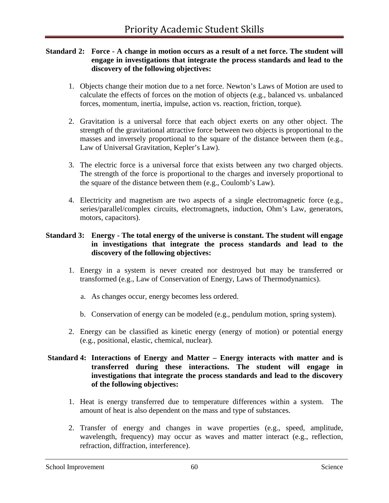### **Standard 2: Force - A change in motion occurs as a result of a net force. The student will engage in investigations that integrate the process standards and lead to the discovery of the following objectives:**

- 1. Objects change their motion due to a net force. Newton's Laws of Motion are used to calculate the effects of forces on the motion of objects (e.g., balanced vs. unbalanced forces, momentum, inertia, impulse, action vs. reaction, friction, torque).
- 2. Gravitation is a universal force that each object exerts on any other object. The strength of the gravitational attractive force between two objects is proportional to the masses and inversely proportional to the square of the distance between them (e.g., Law of Universal Gravitation, Kepler's Law).
- 3. The electric force is a universal force that exists between any two charged objects. The strength of the force is proportional to the charges and inversely proportional to the square of the distance between them (e.g., Coulomb's Law).
- 4. Electricity and magnetism are two aspects of a single electromagnetic force (e.g., series/parallel/complex circuits, electromagnets, induction, Ohm's Law, generators, motors, capacitors).

### **Standard 3: Energy - The total energy of the universe is constant. The student will engage in investigations that integrate the process standards and lead to the discovery of the following objectives:**

- 1. Energy in a system is never created nor destroyed but may be transferred or transformed (e.g., Law of Conservation of Energy, Laws of Thermodynamics).
	- a. As changes occur, energy becomes less ordered.
	- b. Conservation of energy can be modeled (e.g., pendulum motion, spring system).
- 2. Energy can be classified as kinetic energy (energy of motion) or potential energy (e.g., positional, elastic, chemical, nuclear).

### **Standard 4: Interactions of Energy and Matter – Energy interacts with matter and is transferred during these interactions. The student will engage in investigations that integrate the process standards and lead to the discovery of the following objectives:**

- 1. Heat is energy transferred due to temperature differences within a system. The amount of heat is also dependent on the mass and type of substances.
- 2. Transfer of energy and changes in wave properties (e.g., speed, amplitude, wavelength, frequency) may occur as waves and matter interact (e.g., reflection, refraction, diffraction, interference).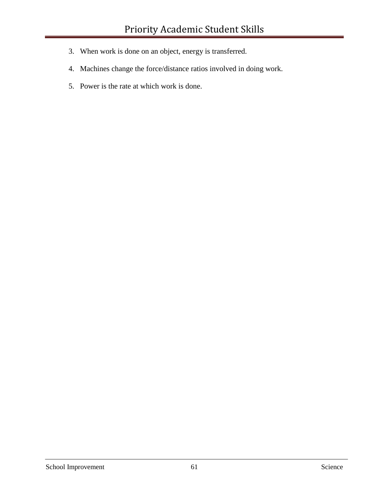- 3. When work is done on an object, energy is transferred.
- 4. Machines change the force/distance ratios involved in doing work.
- 5. Power is the rate at which work is done.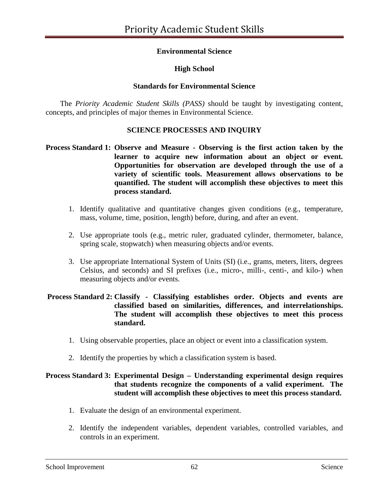## **Environmental Science**

## **High School**

### **Standards for Environmental Science**

The *Priority Academic Student Skills (PASS)* should be taught by investigating content, concepts, and principles of major themes in Environmental Science.

### **SCIENCE PROCESSES AND INQUIRY**

### **Process Standard 1: Observe and Measure - Observing is the first action taken by the learner to acquire new information about an object or event. Opportunities for observation are developed through the use of a variety of scientific tools. Measurement allows observations to be quantified. The student will accomplish these objectives to meet this process standard.**

- 1. Identify qualitative and quantitative changes given conditions (e.g., temperature, mass, volume, time, position, length) before, during, and after an event.
- 2. Use appropriate tools (e.g., metric ruler, graduated cylinder, thermometer, balance, spring scale, stopwatch) when measuring objects and/or events.
- 3. Use appropriate International System of Units (SI) (i.e., grams, meters, liters, degrees Celsius, and seconds) and SI prefixes (i.e., micro-, milli-, centi-, and kilo-) when measuring objects and/or events.

### **Process Standard 2: Classify - Classifying establishes order. Objects and events are classified based on similarities, differences, and interrelationships. The student will accomplish these objectives to meet this process standard.**

- 1. Using observable properties, place an object or event into a classification system.
- 2. Identify the properties by which a classification system is based.

## **Process Standard 3: Experimental Design – Understanding experimental design requires that students recognize the components of a valid experiment. The student will accomplish these objectives to meet this process standard.**

- 1. Evaluate the design of an environmental experiment.
- 2. Identify the independent variables, dependent variables, controlled variables, and controls in an experiment.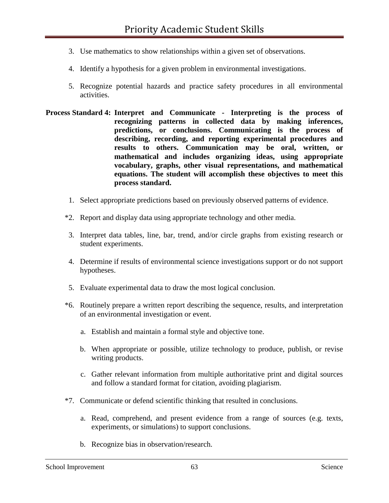- 3. Use mathematics to show relationships within a given set of observations.
- 4. Identify a hypothesis for a given problem in environmental investigations.
- 5. Recognize potential hazards and practice safety procedures in all environmental activities.
- **Process Standard 4: Interpret and Communicate - Interpreting is the process of recognizing patterns in collected data by making inferences, predictions, or conclusions. Communicating is the process of describing, recording, and reporting experimental procedures and results to others. Communication may be oral, written, or mathematical and includes organizing ideas, using appropriate vocabulary, graphs, other visual representations, and mathematical equations. The student will accomplish these objectives to meet this process standard.** 
	- 1. Select appropriate predictions based on previously observed patterns of evidence.
	- \*2. Report and display data using appropriate technology and other media.
	- 3. Interpret data tables, line, bar, trend, and/or circle graphs from existing research or student experiments.
	- 4. Determine if results of environmental science investigations support or do not support hypotheses.
	- 5. Evaluate experimental data to draw the most logical conclusion.
	- \*6. Routinely prepare a written report describing the sequence, results, and interpretation of an environmental investigation or event.
		- a. Establish and maintain a formal style and objective tone.
		- b. When appropriate or possible, utilize technology to produce, publish, or revise writing products.
		- c. Gather relevant information from multiple authoritative print and digital sources and follow a standard format for citation, avoiding plagiarism.
	- \*7. Communicate or defend scientific thinking that resulted in conclusions.
		- a. Read, comprehend, and present evidence from a range of sources (e.g. texts, experiments, or simulations) to support conclusions.
		- b. Recognize bias in observation/research.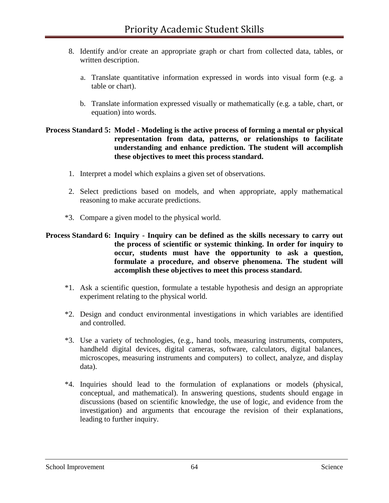- 8. Identify and/or create an appropriate graph or chart from collected data, tables, or written description.
	- a. Translate quantitative information expressed in words into visual form (e.g. a table or chart).
	- b. Translate information expressed visually or mathematically (e.g. a table, chart, or equation) into words.

### **Process Standard 5: Model - Modeling is the active process of forming a mental or physical representation from data, patterns, or relationships to facilitate understanding and enhance prediction. The student will accomplish these objectives to meet this process standard.**

- 1. Interpret a model which explains a given set of observations.
- 2. Select predictions based on models, and when appropriate, apply mathematical reasoning to make accurate predictions.
- \*3. Compare a given model to the physical world.

### **Process Standard 6: Inquiry - Inquiry can be defined as the skills necessary to carry out the process of scientific or systemic thinking. In order for inquiry to occur, students must have the opportunity to ask a question, formulate a procedure, and observe phenomena. The student will accomplish these objectives to meet this process standard.**

- \*1. Ask a scientific question, formulate a testable hypothesis and design an appropriate experiment relating to the physical world.
- \*2. Design and conduct environmental investigations in which variables are identified and controlled.
- \*3. Use a variety of technologies, (e.g., hand tools, measuring instruments, computers, handheld digital devices, digital cameras, software, calculators, digital balances, microscopes, measuring instruments and computers) to collect, analyze, and display data).
- \*4. Inquiries should lead to the formulation of explanations or models (physical, conceptual, and mathematical). In answering questions, students should engage in discussions (based on scientific knowledge, the use of logic, and evidence from the investigation) and arguments that encourage the revision of their explanations, leading to further inquiry.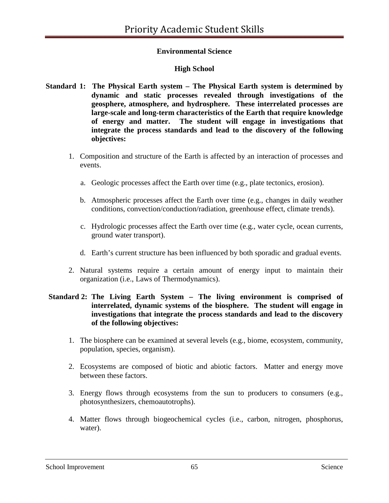## **Environmental Science**

## **High School**

- **Standard 1: The Physical Earth system – The Physical Earth system is determined by dynamic and static processes revealed through investigations of the geosphere, atmosphere, and hydrosphere. These interrelated processes are large-scale and long-term characteristics of the Earth that require knowledge of energy and matter. The student will engage in investigations that integrate the process standards and lead to the discovery of the following objectives:**
	- 1. Composition and structure of the Earth is affected by an interaction of processes and events.
		- a. Geologic processes affect the Earth over time (e.g., plate tectonics, erosion).
		- b. Atmospheric processes affect the Earth over time (e.g., changes in daily weather conditions, convection/conduction/radiation, greenhouse effect, climate trends).
		- c. Hydrologic processes affect the Earth over time (e.g., water cycle, ocean currents, ground water transport).
		- d. Earth's current structure has been influenced by both sporadic and gradual events.
	- 2. Natural systems require a certain amount of energy input to maintain their organization (i.e., Laws of Thermodynamics).

### **Standard 2: The Living Earth System – The living environment is comprised of interrelated, dynamic systems of the biosphere. The student will engage in investigations that integrate the process standards and lead to the discovery of the following objectives:**

- 1. The biosphere can be examined at several levels (e.g., biome, ecosystem, community, population, species, organism).
- 2. Ecosystems are composed of biotic and abiotic factors. Matter and energy move between these factors.
- 3. Energy flows through ecosystems from the sun to producers to consumers (e.g., photosynthesizers, chemoautotrophs).
- 4. Matter flows through biogeochemical cycles (i.e., carbon, nitrogen, phosphorus, water).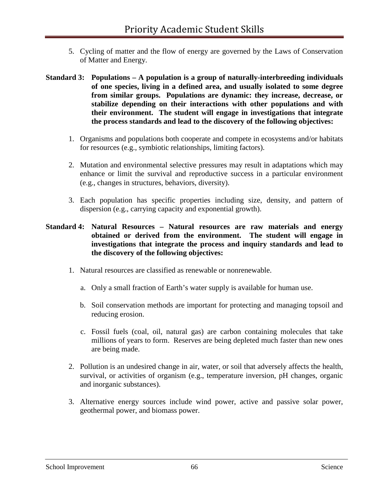- 5. Cycling of matter and the flow of energy are governed by the Laws of Conservation of Matter and Energy.
- **Standard 3: Populations – A population is a group of naturally-interbreeding individuals of one species, living in a defined area, and usually isolated to some degree from similar groups. Populations are dynamic: they increase, decrease, or stabilize depending on their interactions with other populations and with their environment. The student will engage in investigations that integrate the process standards and lead to the discovery of the following objectives:**
	- 1. Organisms and populations both cooperate and compete in ecosystems and/or habitats for resources (e.g., symbiotic relationships, limiting factors).
	- 2. Mutation and environmental selective pressures may result in adaptations which may enhance or limit the survival and reproductive success in a particular environment (e.g., changes in structures, behaviors, diversity).
	- 3. Each population has specific properties including size, density, and pattern of dispersion (e.g., carrying capacity and exponential growth).

### **Standard 4: Natural Resources – Natural resources are raw materials and energy obtained or derived from the environment. The student will engage in investigations that integrate the process and inquiry standards and lead to the discovery of the following objectives:**

- 1. Natural resources are classified as renewable or nonrenewable.
	- a. Only a small fraction of Earth's water supply is available for human use.
	- b. Soil conservation methods are important for protecting and managing topsoil and reducing erosion.
	- c. Fossil fuels (coal, oil, natural gas) are carbon containing molecules that take millions of years to form. Reserves are being depleted much faster than new ones are being made.
- 2. Pollution is an undesired change in air, water, or soil that adversely affects the health, survival, or activities of organism (e.g., temperature inversion, pH changes, organic and inorganic substances).
- 3. Alternative energy sources include wind power, active and passive solar power, geothermal power, and biomass power.